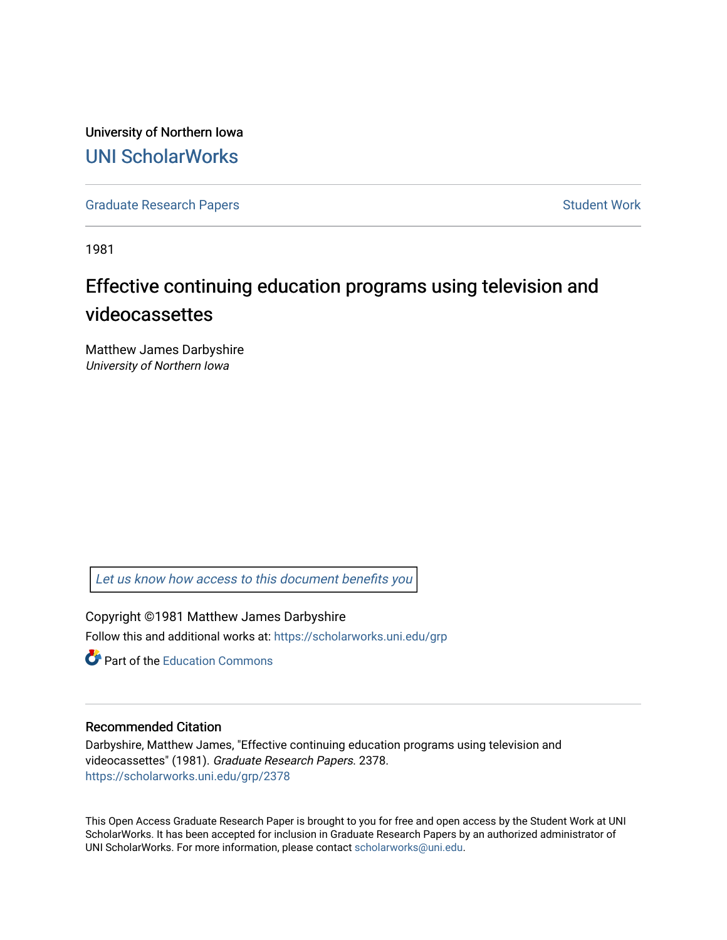University of Northern Iowa [UNI ScholarWorks](https://scholarworks.uni.edu/) 

[Graduate Research Papers](https://scholarworks.uni.edu/grp) **Student Work** Student Work

1981

# Effective continuing education programs using television and videocassettes

Matthew James Darbyshire University of Northern Iowa

[Let us know how access to this document benefits you](https://scholarworks.uni.edu/feedback_form.html) 

Copyright ©1981 Matthew James Darbyshire Follow this and additional works at: [https://scholarworks.uni.edu/grp](https://scholarworks.uni.edu/grp?utm_source=scholarworks.uni.edu%2Fgrp%2F2378&utm_medium=PDF&utm_campaign=PDFCoverPages) 

**C** Part of the [Education Commons](http://network.bepress.com/hgg/discipline/784?utm_source=scholarworks.uni.edu%2Fgrp%2F2378&utm_medium=PDF&utm_campaign=PDFCoverPages)

### Recommended Citation

Darbyshire, Matthew James, "Effective continuing education programs using television and videocassettes" (1981). Graduate Research Papers. 2378. [https://scholarworks.uni.edu/grp/2378](https://scholarworks.uni.edu/grp/2378?utm_source=scholarworks.uni.edu%2Fgrp%2F2378&utm_medium=PDF&utm_campaign=PDFCoverPages) 

This Open Access Graduate Research Paper is brought to you for free and open access by the Student Work at UNI ScholarWorks. It has been accepted for inclusion in Graduate Research Papers by an authorized administrator of UNI ScholarWorks. For more information, please contact [scholarworks@uni.edu.](mailto:scholarworks@uni.edu)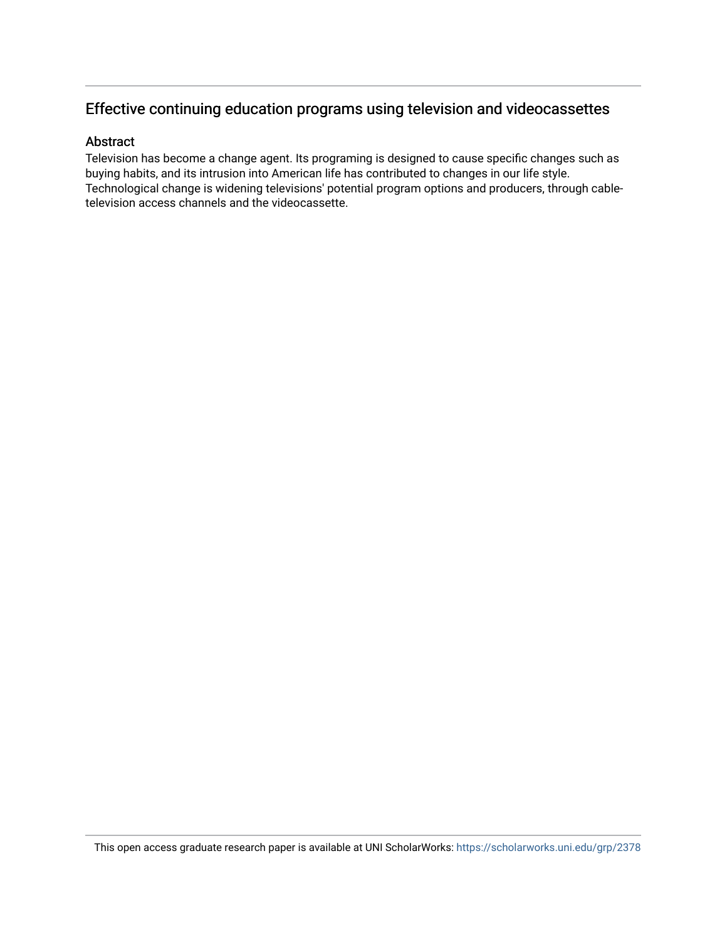## Effective continuing education programs using television and videocassettes

## Abstract

Television has become a change agent. Its programing is designed to cause specific changes such as buying habits, and its intrusion into American life has contributed to changes in our life style. Technological change is widening televisions' potential program options and producers, through cabletelevision access channels and the videocassette.

This open access graduate research paper is available at UNI ScholarWorks: <https://scholarworks.uni.edu/grp/2378>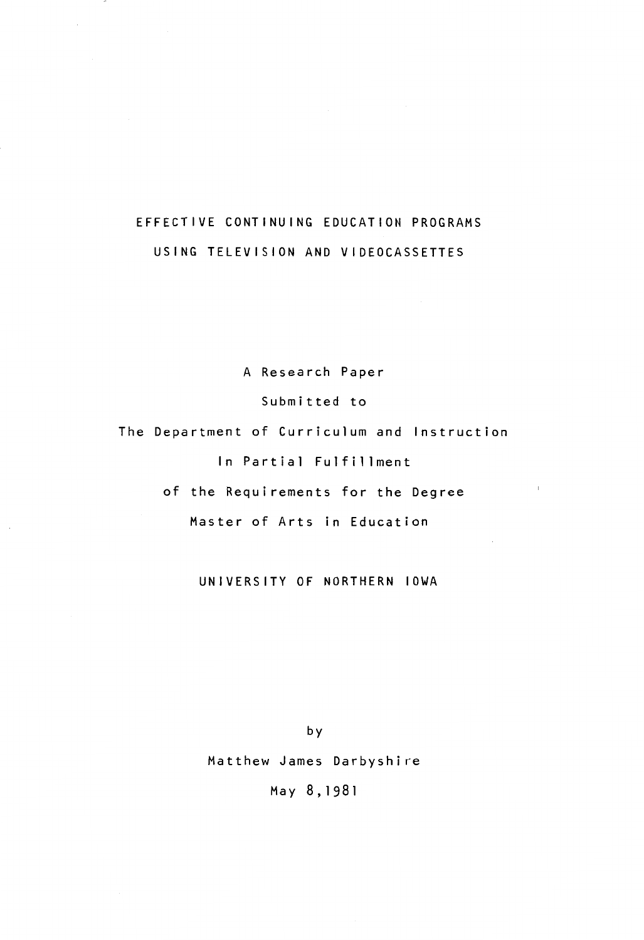## EFFECTIVE CONTINUING EDUCATION PROGRAMS USING TELEVISION AND VIDEOCASSETTES

A Research Paper Submitted to The Department of Curriculum and Instruction In Partial Fulfillment of the Requirements for the Degree Master of Arts in Education

 $\mathbb{R}$ 

UNIVERSITY OF NORTHERN IOWA

by

Matthew James Darbyshire

May 8,1981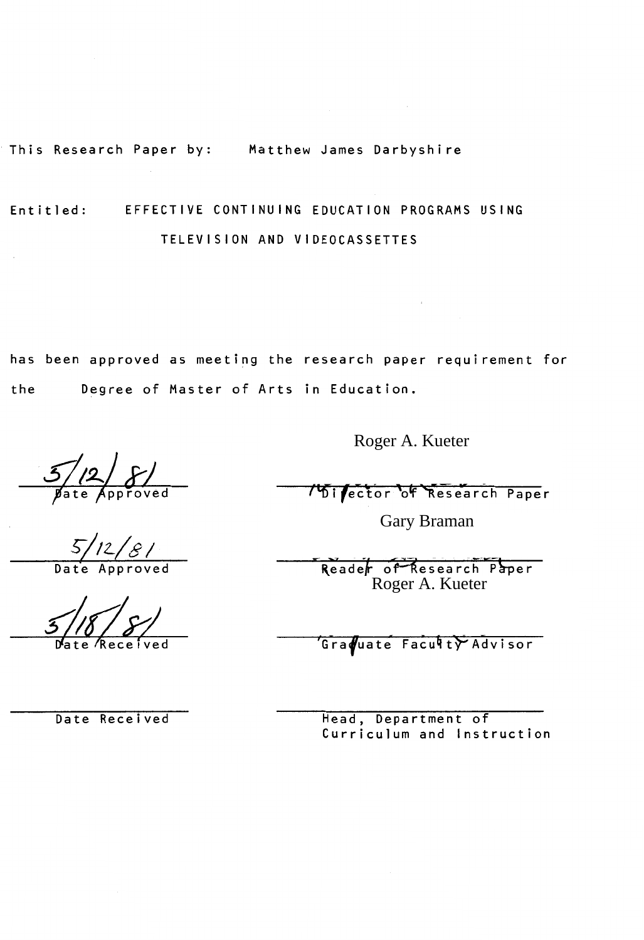This Research Paper by: Matthew James Darbyshire

## Entitled: EFFECTIVE CONTINUING EDUCATION PROGRAMS USING TELEVISION AND VIDEOCASSETTES

has been approved as meeting the research paper requirement for the Degree of Master of Arts in Education.

 $\frac{5}{\sqrt{2}}$   $\frac{5}{\sqrt{2}}$ 

Roger A. Kueter

**15 Fector of Research Paper** 

Gary Braman

Reader of Research Paper Roger A. Kueter

Graduate Faculty Advisor

Date Received

Head, Department of Curriculum and Instruction

 $5/12/8/$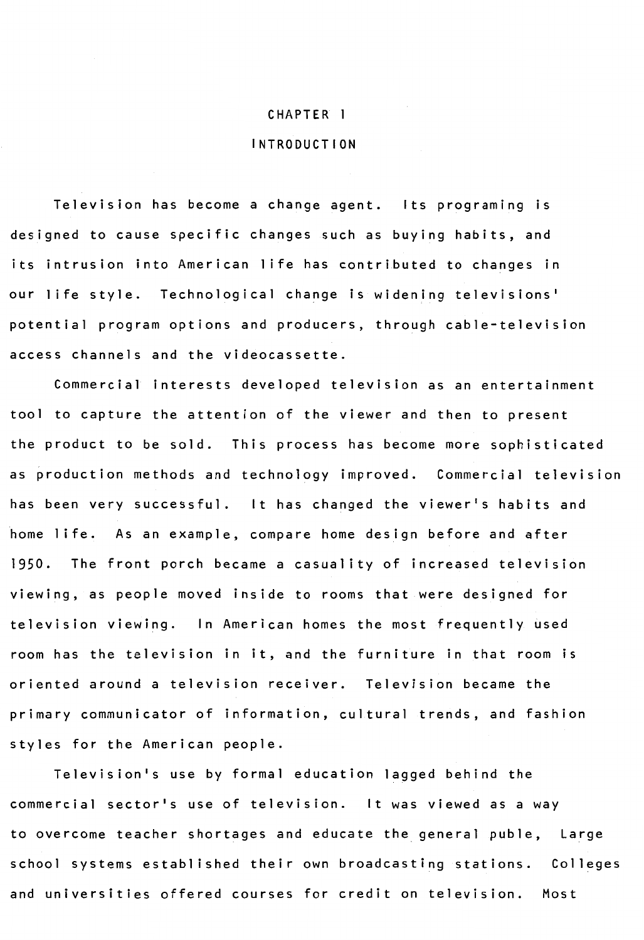#### CHAPTER l

#### INTRODUCTION

Television has become a change agent. Its programing is designed to cause specific changes such as buying habits, and its intrusion into American life has contributed to changes in our life style. Technological change is widening televisions' potential program options and producers, through cable-television access channels and the videocassette.

Commercial interests developed television as an entertainment tool to capture the attention of the viewer and then to present the product to be sold. This process has become more sophisticated as production methods and technology improved. Commercial television has been very successful. It has changed the viewer's habits and home life. As an example, compare home design before and after 1950. The front porch became a casuality of increased television viewing, as people moved inside to rooms that were designed for television viewing. In American homes the most frequently used room has the television in it, and the furniture in that room is oriented around a television receiver. Television became the primary communicator of information, cultural trends, and fashion styles for the American people.

Television's use by formal education lagged behind the commercial sector's use of television. It was viewed as a way to overcome teacher shortages and educate the general puble, Large school systems established their own broadcasting stations. Colleges and universities offered courses for credit on television. Most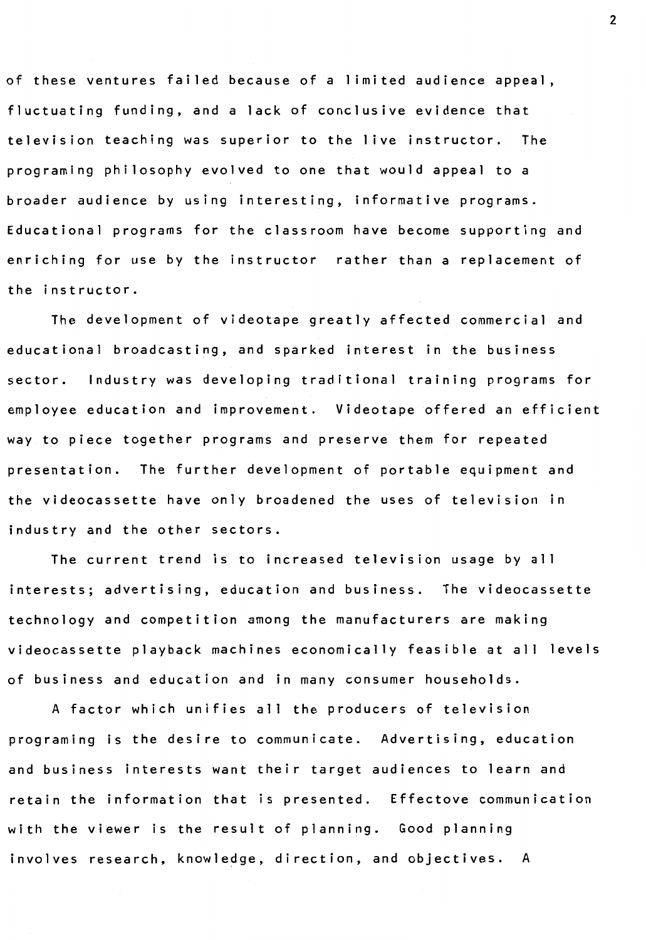of these ventures failed because of a limited audience appeal, fluctuating funding, and a lack of conclusive evidence that television teaching was superior to the live instructor. The programing philosophy evolved to one that would appeal to a broader audience by using interesting, informative programs. Educational programs for the classroom have become supporting and enriching for use by the instructor rather than a replacement of the instructor.

The development of videotape greatly affected commercial and educational broadcasting, and sparked interest in the business sector. Industry was developing traditional training programs for employee education and improvement. Videotape offered an efficient way to piece together programs and preserve them for repeated presentation. The further development of portable equipment and the videocassette have only broadened the uses of television in industry and the other sectors.

The current trend is to increased television usage by all interests; advertising, education and business. The videocassette technology and competition among the manufacturers are making videocassette playback machines economically feasible at all levels of business and education and in many consumer households.

A factor which unifies all the producers of television programing is the desire to communicate. Advertising, education and business interests want their target audiences to learn and retain the information that is presented. Effectove communication with the viewer is the result of planning. Good planning involves research, knowledge, direction, and objectives. A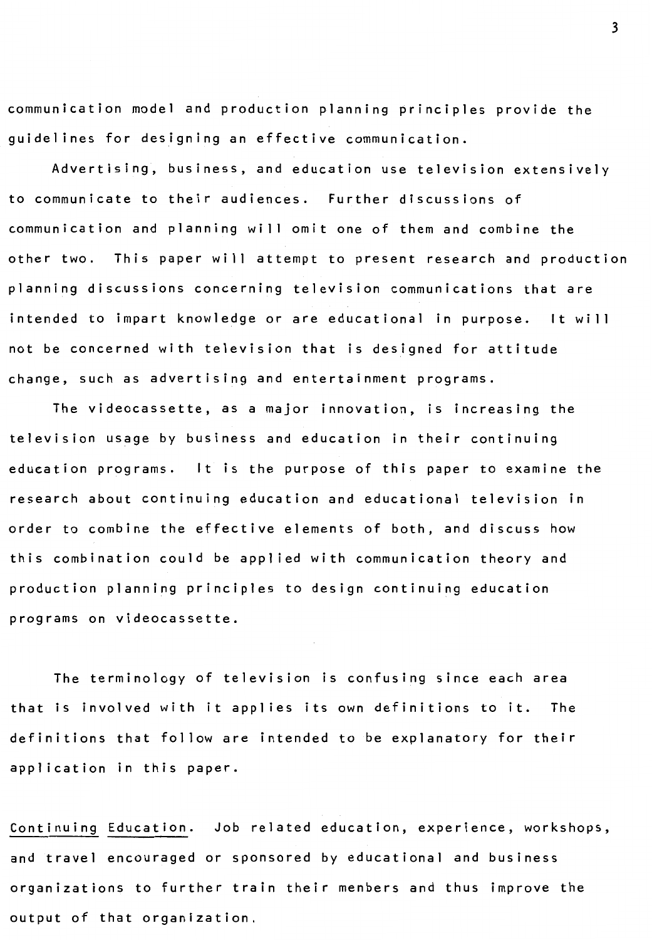communication model and production planning principles provide the guidelines for designing an effective communication.

Advertising, business, and education use television extensively to communicate to their audiences. Further discussions of communication and planning will omit one of them and combine the other two. This paper will attempt to present research and production planning discussions concerning television communications that are intended to impart knowledge or are educational in purpose. It will not be concerned with television that is designed for attitude change, such as advertising and entertainment programs.

The videocassette, as a major innovation, is increasing the television usage by business and education in their continuing education programs. It is the purpose of this paper to examine the research about continuing education and educational television in order to combine the effective elements of both, and discuss how this combination could be applied with communication theory and production planning principles to design continuing education programs on videocassette.

The terminology of television is confusing since each area that is involved with it applies its own definitions to it. The definitions that follow are intended to be explanatory for their application in this paper.

Continuing Education. Job related education, experience, workshops, and travel encouraged or sponsored by educational and business organizations to further train their menbers and thus improve the output of that organization.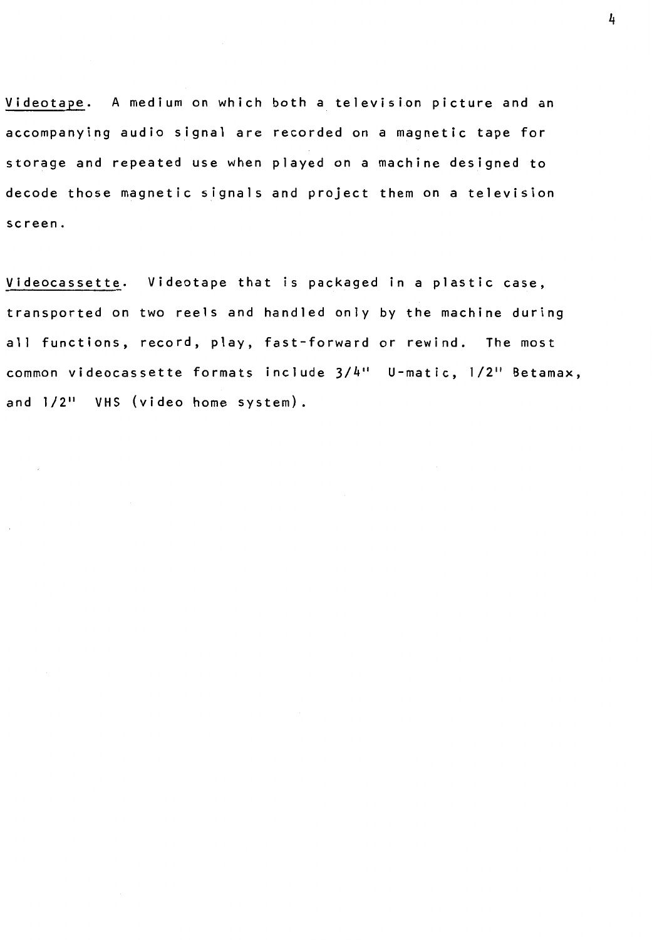Videotape. A medium on which both a television picture and an accompanying audio signal are recorded on a magnetic tape for storage and repeated use when played on a machine designed to decode those magnetic signals and project them on a television screen.

Videocassette. Videotape that is packaged in a plastic case, transported on two reels and handled only by the machine during all functions, record, play, fast-forward or rewind. The most common videocassette formats include  $3/4$ " U-matic,  $1/2$ " Betamax, and  $1/2$ <sup>11</sup> VHS (video home system).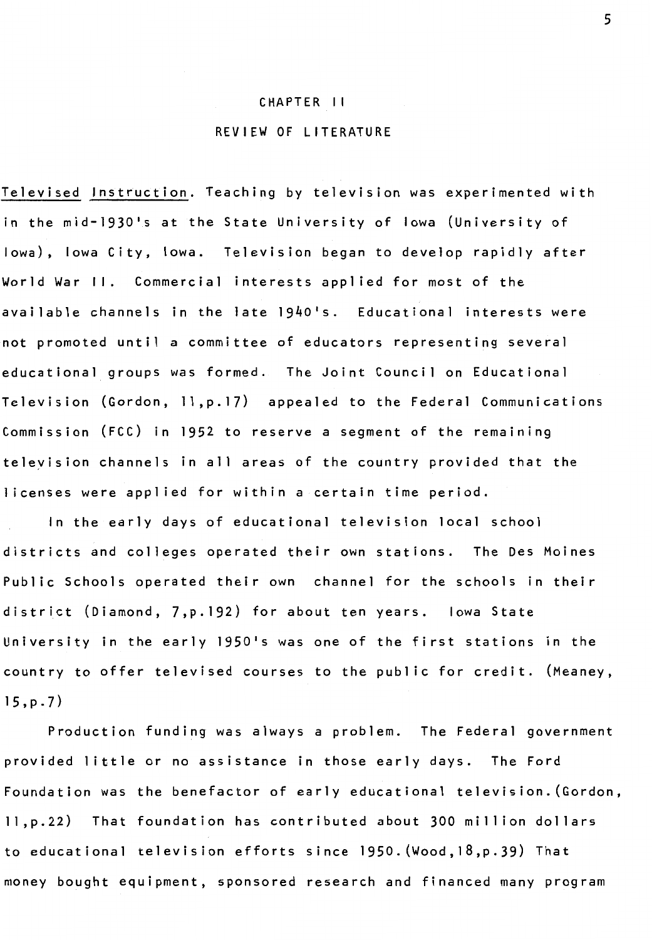#### CHAPTER 11

### REVIEW OF LITERATURE

Televised Instruction. Teaching by television was experimented with in the mid-1930's at the State University of Iowa (University of Iowa), Iowa City, Iowa. Television began to develop rapidly after World War II. Commercial interests applied for most of the available channels in the late 1940's. Educational interests were not promoted until a committee of educators representing several educational groups was formed. The Joint Council on Educational Television (Gordon, 11,p.17) appealed to the Federal Communications Commission (FCC) in 1952 to reserve a segment of the remaining television channels in all areas of the country provided that the licenses were applied for within a certain time period.

In the early days of educational television local school districts and colleges operated their own stations. The Des Moines Public Schools operated their own channel for the schools in their district (Diamond, 7,p.192) for about ten years. Iowa State University in the early 1950's was one of the first stations in the country to offer televised courses to the public for credit. (Meaney, 15,p.7)

Production funding was always a problem. The Federal government provided little or no assistance in those early days. The Ford Foundation was the benefactor of early educational television. (Gordon, 11,p.22) That foundation has contributed about 300 million dollars to educational television efforts since 1950.(Wood, 18,p.39) That money bought equipment, sponsored research and financed many program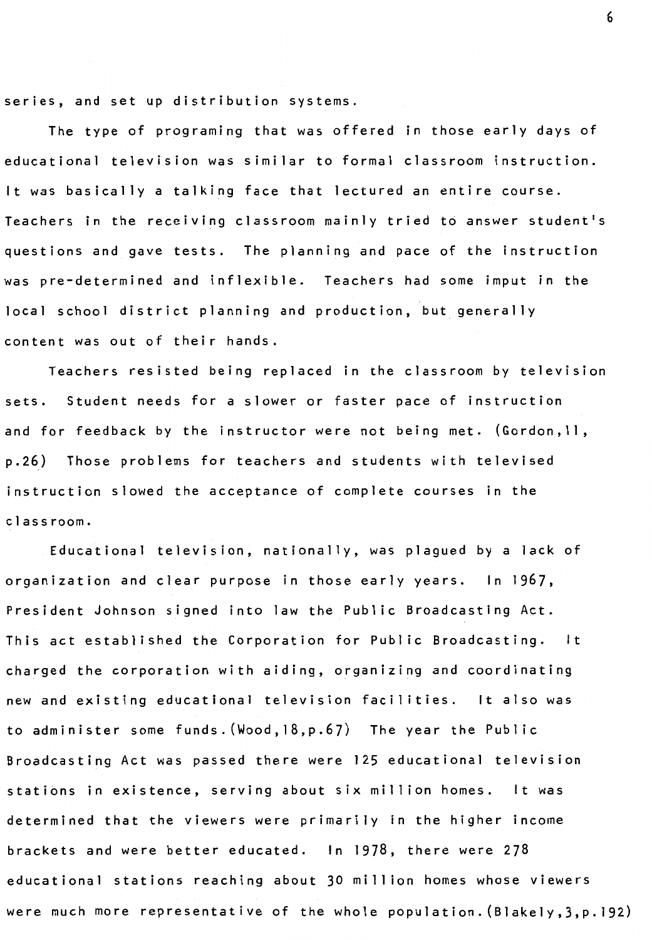series, and set up distribution systems.

The type of programing that was offered in those early days of educational television was similar to formal classroom instruction. It was basically a talking face that lectured an entire course. Teachers in the receiving classroom mainly tried to answer student's questions and gave tests. The planning and pace of the instruction was pre-determined and inflexible. Teachers had some imput in the local school district planning and production, but generally content was out of their hands.

Teachers resisted being replaced in the classroom by television sets. Student needs for a slower or faster pace of instruction and for feedback by the instructor were not being met. (Gordon,11, p.26) Those problems for teachers and students with televised instruction slowed the acceptance of complete courses in the classroom.

Educational television, nationally, was plagued by a lack of organization and clear purpose in those early years. In 1967, President Johnson signed into law the Public Broadcasting Act. This act established the Corporation for Public Broadcasting. It charged the corporation with aiding, organizing and coordinating new and existing educational television facilities. It also was to administer some funds. (Wood, 18,p.67) The year the Public Broadcasting Act was passed there were 125 educational television stations in existence, serving about six million homes. It was determined that the viewers were primarily in the higher income brackets and were better educated. In 1978, there were 278 educational stations reaching about 30 mill ion homes whose viewers were much more representative of the whole population. (Blakely,3,p.192)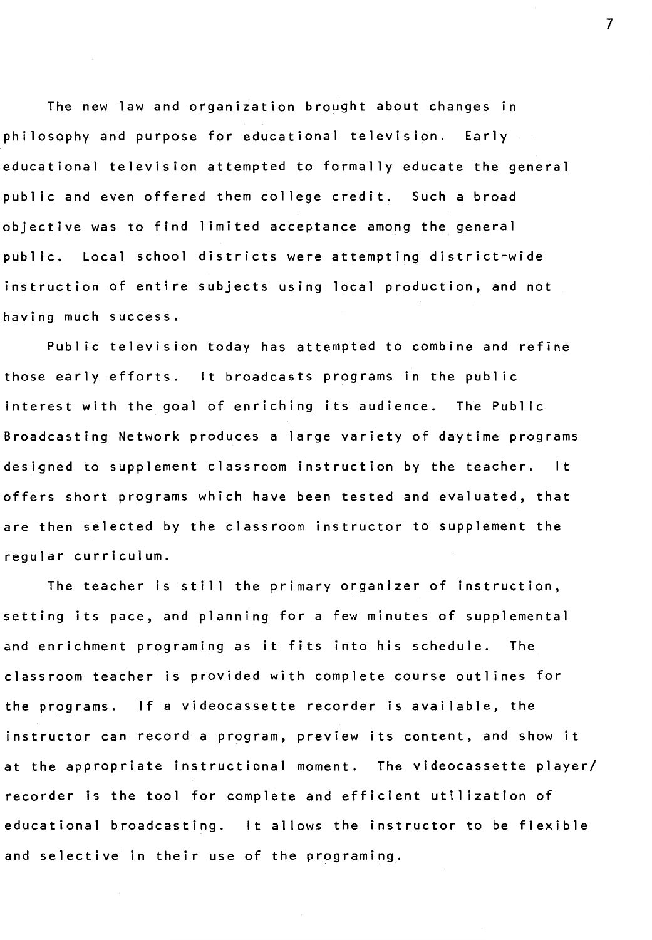The new law and organization brought about changes in philosophy and purpose for educational television. Early educational television attempted to formally educate the general public and even offered them college credit. Such a broad objective was to find limited acceptance among the general public. Local school districts were attempting district-wide instruction of entire subjects using local production, and not having much success.

Public television today has attempted to combine and refine those early efforts. It broadcasts programs in the public interest with the goal of enriching its audience. The Public Broadcasting Network produces a large variety of daytime programs designed to supplement classroom instruction by the teacher. It offers short programs which have been tested and evaluated, that are then selected by the classroom instructor to supplement the regular curriculum.

The teacher is still the primary organizer of instruction, setting its pace, and planning for a few minutes of supplemental and enrichment programing as it fits into his schedule. The classroom teacher is provided with complete course outlines for the programs. If a videocassette recorder is available, the instructor can record a program, preview its content, and show it at the appropriate instructional moment. The videocassette player/ recorder is the tool for complete and efficient utilization of educational broadcasting. It allows the instructor to be flexible and selective in their use of the programing.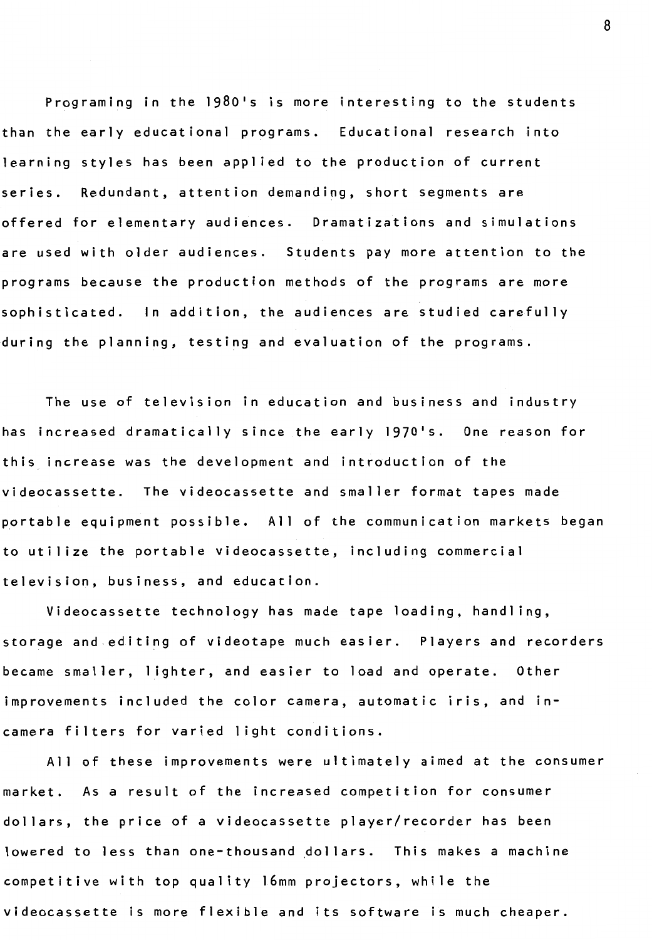Programing in the 198O's is more interesting to the students than the early educational programs. Educational research into learning styles has been applied to the production of current series. Redundant, attention demanding, short segments are offered for elementary audiences. Dramatizations and simulations are used with older audiences. Students pay more attention to the programs because the production methods of the programs are more sophisticated. In addition, the audiences are studied carefully during the planning, testing and evaluation of the programs.

The use of television in education and business and industry has increased dramatically since the early 197O's. One reason for this increase was the development and introduction of the videocassette. The videocassette and smaller format tapes made portable equipment possible. All of the communication markets began to utilize the portable videocassette, including commercial television, business, and education.

Videocassette technology has made tape loading, handling, storage and editing of videotape much easier. Players and recorders became smaller, lighter, and easier to load and operate. Other improvements included the color camera, automatic iris, and incamera filters for varied light conditions.

All of these improvements were ultimately aimed at the consumer market. As a result of the increased competition for consumer dollars, the price of a videocassette player/recorder has been lowered to less than one-thousand dollars. This makes a machine competitive with top quality 16mm projectors, while the videocassette is more flexible and its software is much cheaper.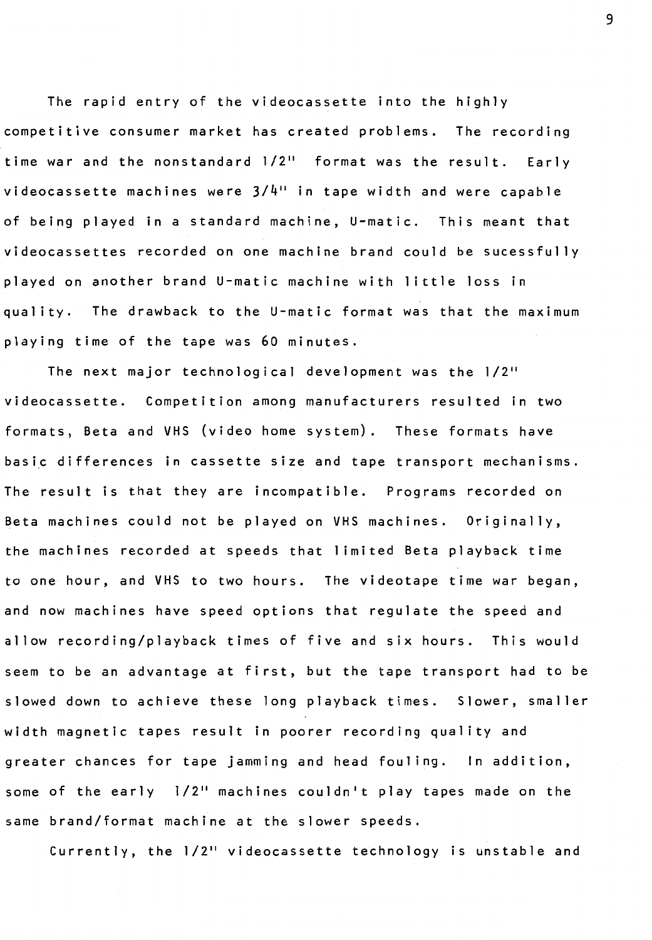The rapid entry of the videocassette into the highly competitive consumer market has created problems. The recording time war and the nonstandard 1/2" format was the result. Early videocassette machines were 3/4" in tape width and were capable of being played in a standard machine, U-matic. This meant that videocassettes recorded on one machine brand could be sucessful ly played on another brand U-matic machine with little loss in quality. The drawback to the U-matic format was that the maximum playing time of the tape was 60 minutes.

The next major technological development was the  $1/2$ " videocassette. Competition among manufacturers resulted in two formats, Beta and VHS (video home system). These formats have basic differences in cassette size and tape transport mechanisms. The result is that they are incompatible. Programs recorded on Beta machines could not be played on VHS machines. Originally, the machines recorded at speeds that 1 imited Beta playback time to one hour, and VHS to two hours. The videotape time war began, and now machines have speed options that regulate the speed and allow recording/playback times of five and six hours. This would seem to be an advantage at first, but the tape transport had to be slowed down to achieve these long playback times. Slower, smaller width magnetic tapes result in poorer recording quality and greater chances for tape jamming and head fouling. In addition, some of the early 1/2" machines couldn't play tapes made on the same brand/format machine at the slower speeds.

Currently, the 1/2" videocassette technology is unstable and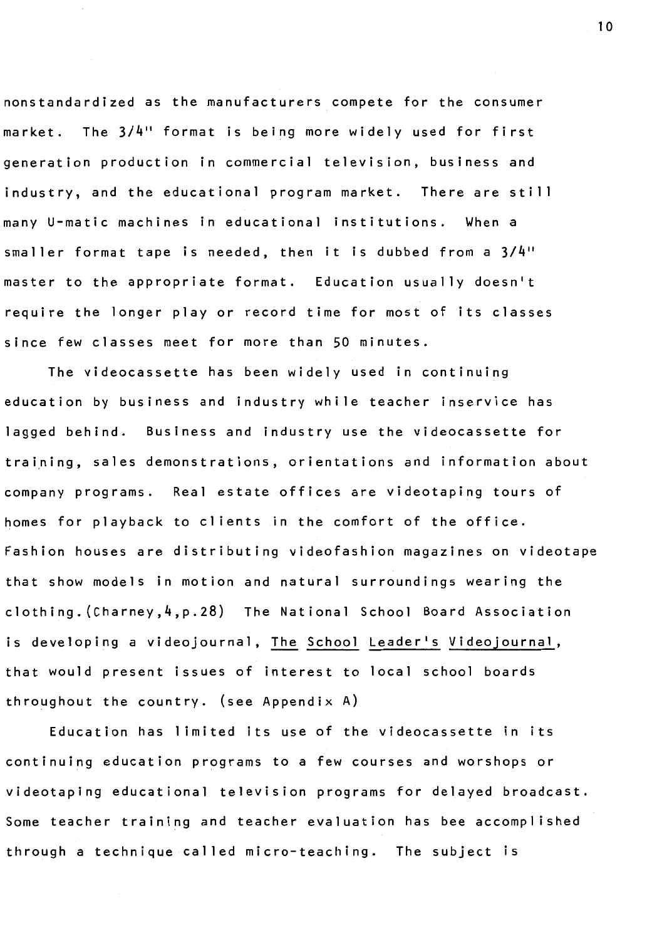nonstandardized as the manufacturers compete for the consumer market. The  $3/4$ <sup>11</sup> format is being more widely used for first generation production in commercial television, business and industry, and the educational program market. There are still many U-matic machines in educational institutions. When a smaller format tape is needed, then it is dubbed from a 3/4" master to the appropriate format. Education usually doesn't require the longer play or record time for most of its classes since few classes meet for more than 50 minutes.

The videocassette has been widely used in continuing education by business and industry while teacher inservice has lagged behind. Business and industry use the videocassette for training, sales demonstrations, orientations and information about company programs. Real estate offices are videotaping tours of homes for playback to clients in the comfort of the office. Fashion houses are distributing videofashion magazines on videotape that show models in motion and natural surroundings wearing the clothing. (Charney,4,p.28) The National School Board Association is developing a videojournal, The School Leader's Videojournal, that would present issues of interest to local school boards throughout the country. (see Appendix A)

Education has limited its use of the videocassette in its continuing education programs to a few courses and worshops or videotaping educational television programs for delayed broadcast. Some teacher training and teacher evaluation has bee accomplished through a technique called micro-teaching. The subject is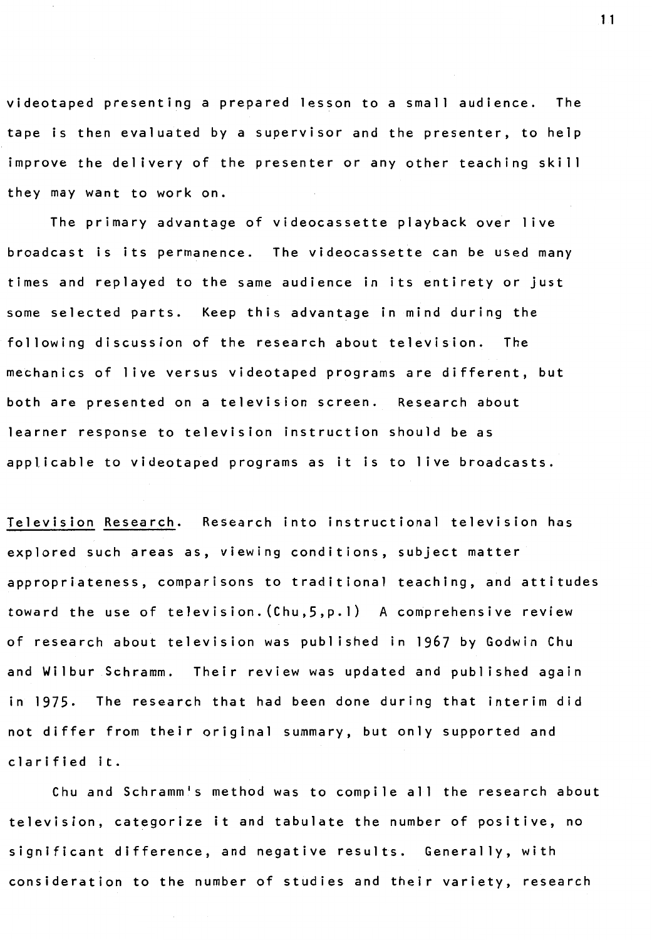videotaped presenting a prepared lesson to a small audience. The tape is then evaluated by a supervisor and the presenter, to help improve the delivery of the presenter or any other teaching skill they may want to work on.

The primary advantage of videocassette playback over live broadcast is its permanence. The videocassette can be used many times and replayed to the same audience in its entirety or just some selected parts. Keep this advantage in mind during the following discussion of the research about television. The mechanics of 1 ive versus videotaped programs are different, but both are presented on a television screen. Research about learner response to television instruction should be as applicable to videotaped programs as it is to live broadcasts.

Television Research. Research into instructional television has explored such areas as, viewing conditions, subject matter appropriateness, comparisons to traditional teaching, and attitudes toward the use of television. (Chu,5,p.1) A comprehensive review of research about television was published in 1967 by Godwin Chu and Wilbur Schramm. Their review was updated and published again in 1975, The research that had been done during that interim did not differ from their original summary, but only supported and clarified it.

Chu and Schramm's method was to compile all the research about television, categorize it and tabulate the number of positive, no significant difference, and negative results. Generally, with consideration to the number of studies and their variety, research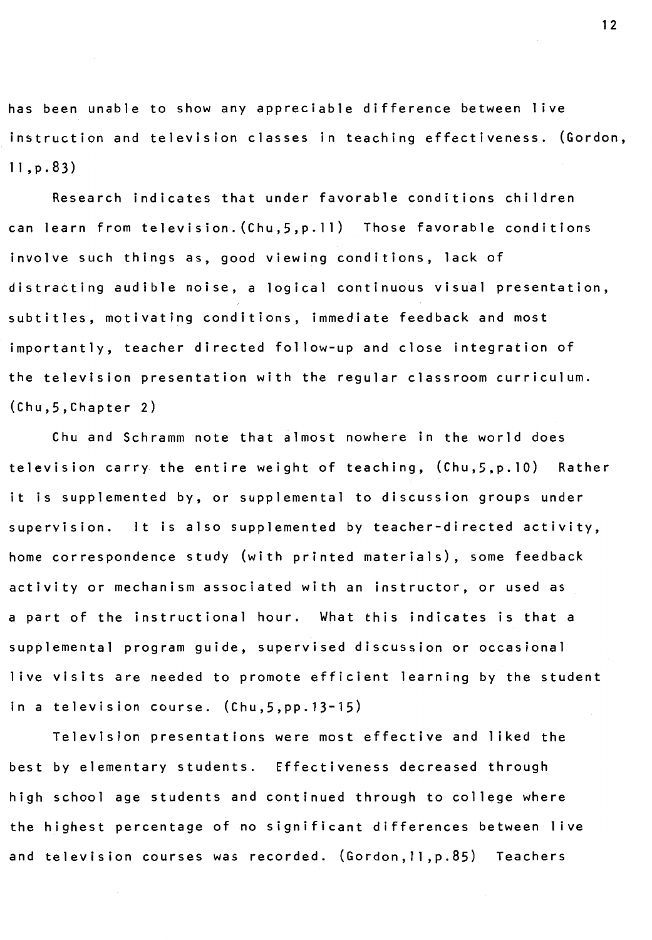has been unable to show any appreciable difference between live instruction and television classes in teaching effectiveness. (Gordon, 11,p.83)

Research indicates that under favorable conditions children can learn from television.(Chu,5,p.11) Those favorable conditions involve such things as, good viewing conditions, lack of distracting audible noise, a logical continuous visual presentation, subtitles, motivating conditions, immediate feedback and most importantly, teacher directed follow-up and close integration of the television presentation with the regular classroom curriculum. (Chu,5,Chapter 2)

Chu and Schramm note that almost nowhere in the world does television carry the entire weight of teaching, (Chu,5,p.10) Rather it is supplemented by, or supplemental to discussion groups under supervision. It is also supplemented by teacher-directed activity, home correspondence study (with printed materials), some feedback activity or mechanism associated with an instructor, or used as a part of the instructional hour. What this indicates is that a supplemental program guide, supervised discussion or occasional live visits are needed to promote efficient learning by the student in a television course. (Chu,5,pp.13-15)

Television presentations were most effective and liked the best by elementary students. Effectiveness decreased through high school age students and continued through to college where the highest percentage of no significant differences between live and television courses was recorded. (Gordon,11,p.85) Teachers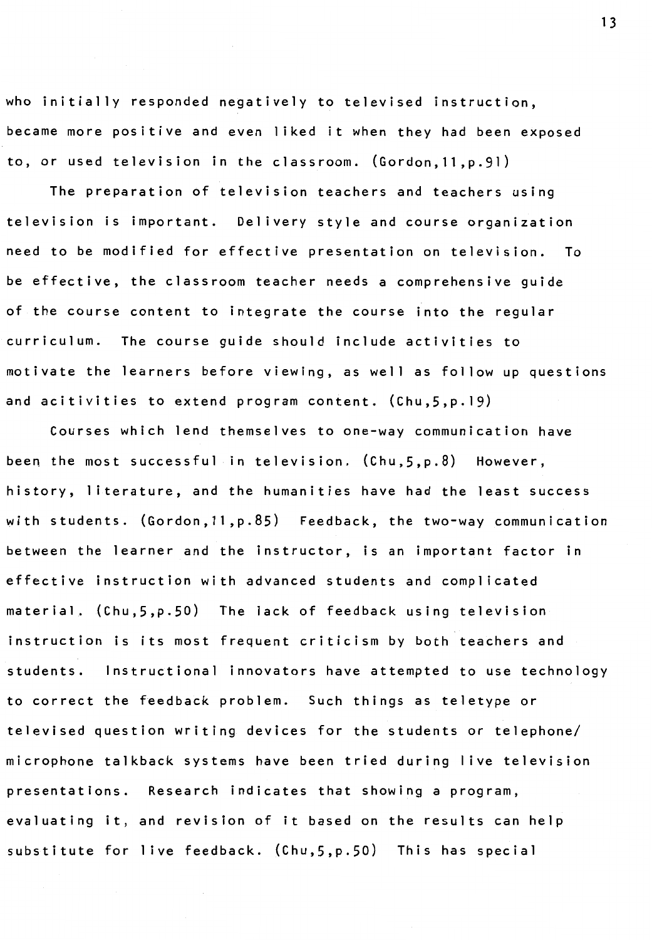who initially responded negatively to televised instruction, became more positive and even liked it when they had been exposed to, or used television in the classroom. (Gordon,11,p.91)

The preparation of television teachers and teachers using television is important. Delivery style and course organization need to be modified for effective presentation on television. To be effective, the classroom teacher needs a comprehensive guide of the course content to integrate the course into the regular curriculum. The course guide should include activities to motivate the learners before viewing, as well as follow up questions and acitivities to extend program content. (Chu,5,p.19)

Courses which lend themselves to one-way communication have been the most successful in television. (Chu,5,p.8) However, history, literature, and the humanities have had the least success with students. (Gordon,11,p.85) Feedback, the two-way communication between the learner and the instructor, is an important factor in effective instruction with advanced students and complicated material. (Chu,5,p.50) The lack of feedback using television instruction is its most frequent criticism by both teachers and students. Instructional innovators have attempted to use technology to correct the feedback problem. Such things as teletype or televised question writing devices for the students or telephone/ microphone talkback systems have been tried during 1 ive television presentations. Research indicates that showing a program, evaluating it, and revision of it based on the results can help substitute for live feedback. (Chu,5,p.50) This has special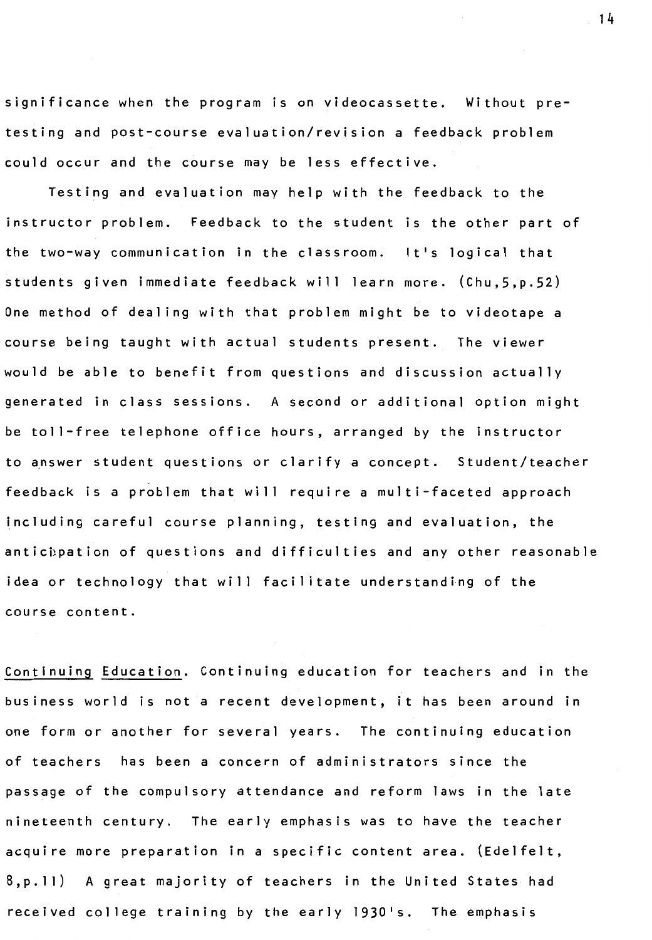significance when the program is on videocassette. Without pretesting and post-course evaluation/revision a feedback problem could occur and the course may be less effective.

Testing and evaluation may help with the feedback to the instructor problem. Feedback to the student is the other part of the two-way communication in the classroom. It's logical that students given immediate feedback will learn more. (Chu,5,p.52) One method of dealing with that problem might be to videotape a course being taught with actual students present. The viewer would be able to benefit from questions and discussion actually generated in class sessions. A second or additional option might be toll-free telephone office hours, arranged by the instructor to answer student questions or clarify a concept. Student/teacher feedback is a problem that will require a multi-faceted approach including careful course planning, testing and evaluation, the anticipation of questions and difficulties and any other reasonable idea or technology that will facilitate understanding of the course content.

Continuing Education. Continuing education for teachers and in the business world is not a recent development, it has been around in one form or another for several years. The continuing education of teachers has been a concern of administrators since the passage of the compulsory attendance and reform laws in the late nineteenth century. The early emphasis was to have the teacher acquire more preparation in a specific content area. (Edelfelt, 8,p.11) A great majority of teachers in the United States had received college training by the early 1930's. The emphasis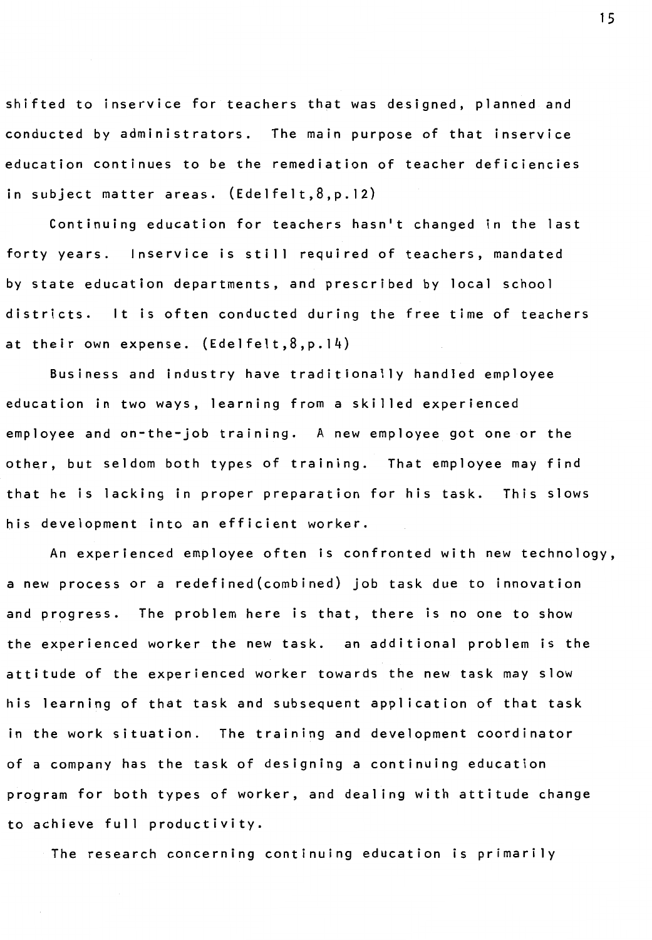shifted to inservice for teachers that was designed, planned and conducted by administrators. The main purpose of that inservice education continues to be the remediation of teacher deficiencies in subject matter areas. (Edelfelt,8,p.12)

Continuing education for teachers hasn't changed in the last forty years. Inservice is still required of teachers, mandated by state education departments, and prescribed by local school districts. It is often conducted during the free time of teachers at their own expense. (Edelfelt,8,p. 14)

Business and industry have traditionally handled employee education in two ways, learning from a skilled experienced employee and on-the-job training. A new employee got one or the other, but seldom both types of training. That employee may find that he is lacking in proper preparation for his task. This slows his development into an efficient worker.

An experienced employee often is confronted with new technology, a new process or a redefined(combined) job task due to innovation and progress. The problem here is that, there is no one to show the experienced worker the new task. an additional problem is the attitude of the experienced worker towards the new task may slow his learning of that task and subsequent application of that task in the work situation. The training and development coordinator of a company has the task of designing a continuing education program for both types of worker, and dealing with attitude change to achieve full productivity.

The research concerning continuing education is primarily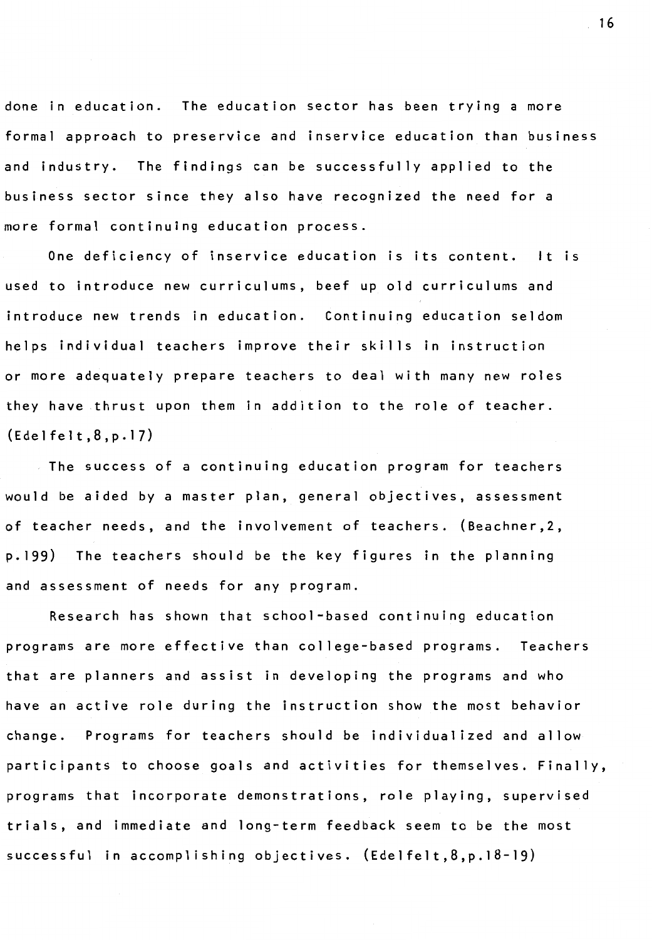done in education. The education sector has been trying a more formal approach to preservice and inservice education than business and industry. The findings can be successfully applied to the business sector since they also have recognized the need for a more formal continuing education process.

One deficiency of inservice education is its content. It is used to introduce new curriculums, beef up old curriculums and introduce new trends in education. Continuing education seldom helps individual teachers improve their skills in instruction or more adequately prepare teachers to deal with many new roles they have thrust upon them in addition to the role of teacher. (Edelfelt,8,p.17)

The success of a continuing education program for teachers would be aided by a master plan, general objectives, assessment of teacher needs, and the involvement of teachers. (Beachner,2, p.199) The teachers should be the key figures in the planning and assessment of needs for any program.

Research has shown that school-based continuing education programs are more effective than college-based programs. Teachers that are planners and assist in developing the programs and who have an active role during the instruction show the most behavior change. Programs for teachers should be individualized and allow participants to choose goals and activities for themselves. Finally, programs that incorporate demonstrations, role playing, supervised trials, and immediate and long-term feedback seem to be the most successful in accomplishing objectives. (Edelfelt,8,p. 18-19)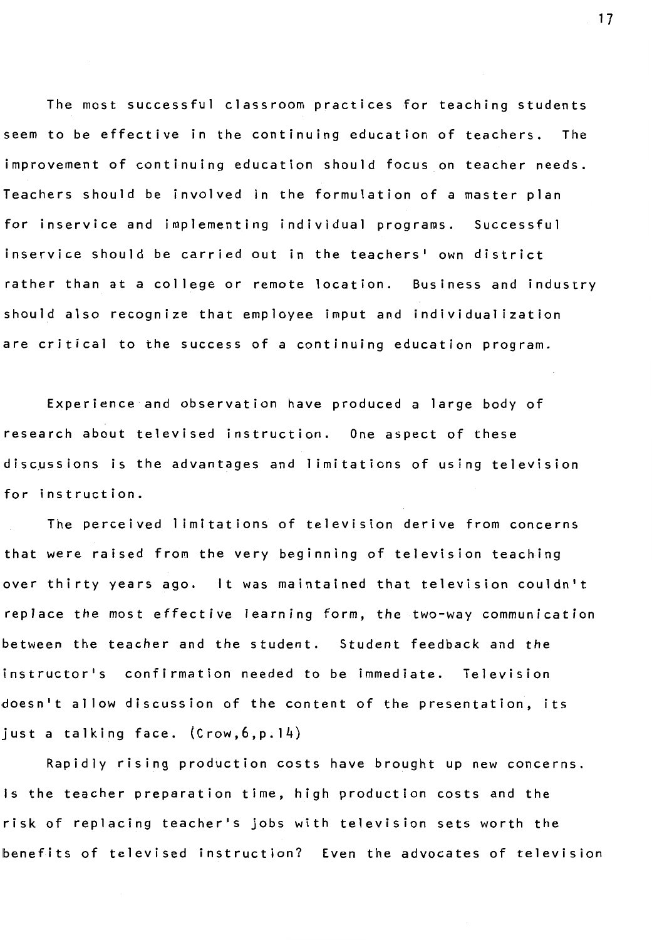The most successful classroom practices for teaching students seem to be effective in the continuing education of teachers. The improvement of continuing education should focus on teacher needs. Teachers should be involved in the formulation of a master plan for inservice and implementing individual programs. Successful inservice should be carried out in the teachers' own district rather than at a college or remote location. Business and industry should also recognize that employee imput and individualization are critical to the success of a continuing education program.

Experience and observation have produced a large body of research about televised instruction. One aspect of these discµssions is the advantages and 1 imitations of using television for instruction.

The perceived 1 imitations of television derive from concerns that were raised from the very beginning of television teaching over thirty years ago. It was maintained that television couldn't replace the most effective learning form, the two-way communication between the teacher and the student. Student feedback and the instructor's confirmation needed to be immediate. Television doesn't allow discussion of the content of the presentation, its just a talking face. (Crow,6,p.14)

Rapidly rising production costs have brought up new concerns. Is the teacher preparation time, high production costs and the risk of replacing teacher's jobs with television sets worth the benefits of televised instruction? Even the advocates of television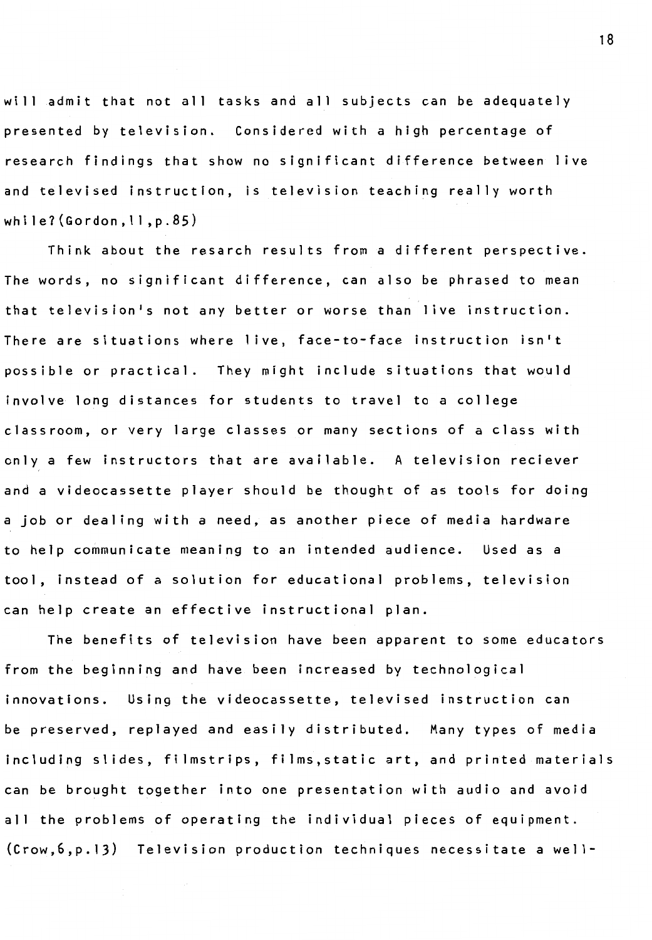will admit that not all tasks and all subjects can be adequately presented by television. Considered with a high percentage of research findings that show no significant difference between live and televised instruction, is television teaching really worth whi le7(Gordon, 11,p.85)

Think about the resarch results from a different perspective. The words, no significant difference, can also be phrased to mean that television's not any better or worse than live instruction. There are situations where live, face-to-face instruction isn't possible or practical. They might include situations that would involve long distances for students to travel to a college classroom, or very large classes or many sections of a class with only a few instructors that are available. A television reciever and a videocassette player should be thought of as tools for doing a job or dealing with a need, as another piece of media hardware to help communicate meaning to an intended audience. Used as a tool, instead of a solution for educational problems, television can help create an effective instructional plan.

The benefits of television have been apparent to some educators from the beginning and have been increased by technological innovations. Using the videocassette, televised instruction can be preserved, replayed and easily distributed. Many types of media including slides, filmstrips, films,static art, and printed materials can be brought together into one presentation with audio and avoid all the problems of operating the individual pieces of equipment.  $(crow, 6, p. 13)$  Television production techniques necessitate a well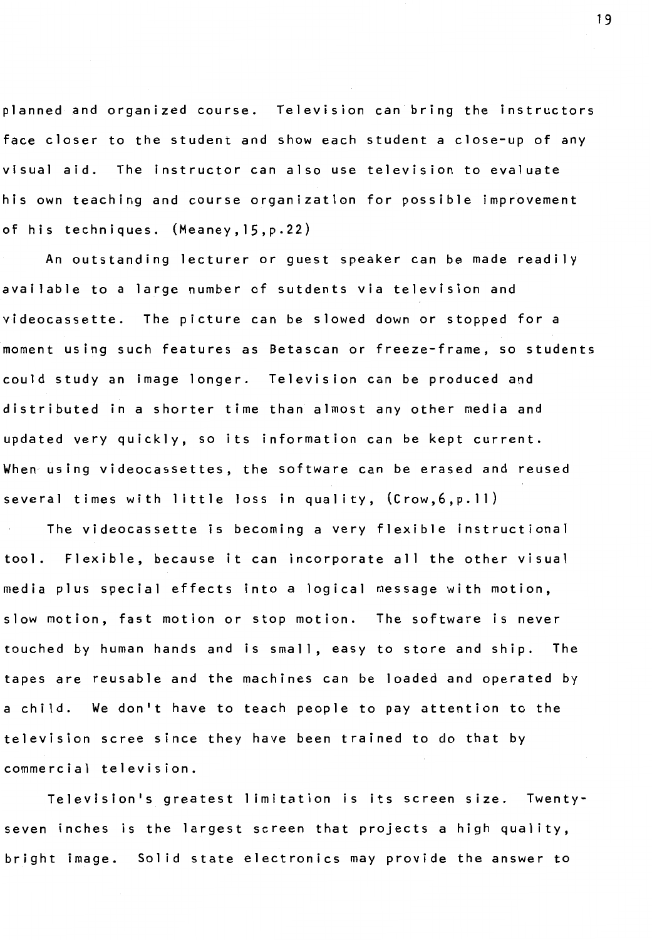planned and organized course. Television can bring the instructors face closer to the student and show each student a close-up of any visual aid. The instructor can also use television to evaluate his own teaching and course organization for possible improvement of his techniques. (Meaney,15,p.22)

An outstanding lecturer or guest speaker can be made readily available to a large number of sutdents via television and videocassette. The picture can be slowed down or stopped for a moment using such features as Betascan or freeze-frame, so students could study an image longer. Television can be produced and distributed in a shorter time than almost any other media and updated very quickly, so its information can be kept current. When using videocassettes, the software can be erased and reused several times with little loss in quality, (Crow, 6, p. 11)

The videocassette is becoming a very flexible instructional tool. Flexible, because it can incorporate all the other visual media plus special effects into a logical message with motion, slow motion, fast motion or stop motion. The software is never touched by human hands and is small, easy to store and ship. The tapes are reusable and the machines can be loaded and operated by a child. We don't have to teach people to pay attention to the television scree since they have been trained to do that by commercial television.

Television's greatest 1 imitation is its screen size. Twentyseven inches is the largest screen that projects a high quality, bright image. Sol id state electronics may provide the answer to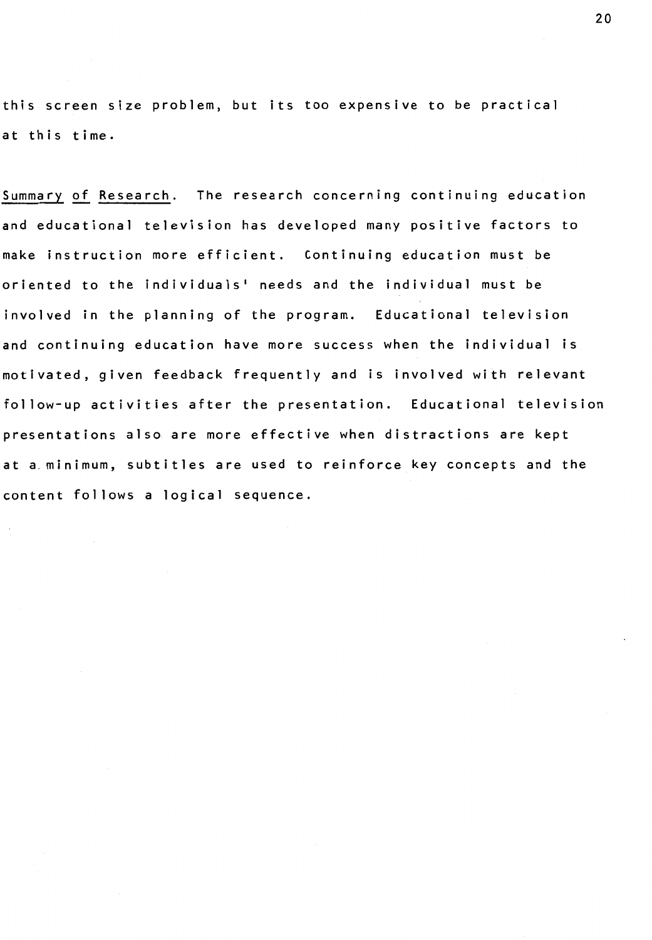this screen size problem, but its too expensive to be practical at this time.

Summary of Research. The research concerning continuing education and educational television has developed many positive factors to make instruction more efficient. Continuing education must be oriented to the individuals' needs and the individual must be involved in the planning of the program. Educational television and continuing education have more success when the individual is motivated, given feedback frequently and is involved with relevant follow-up activities after the presentation. Educational television presentations also are more effective when distractions are kept at a, minimum, subtitles are used to reinforce key concepts and the content follows a logical sequence.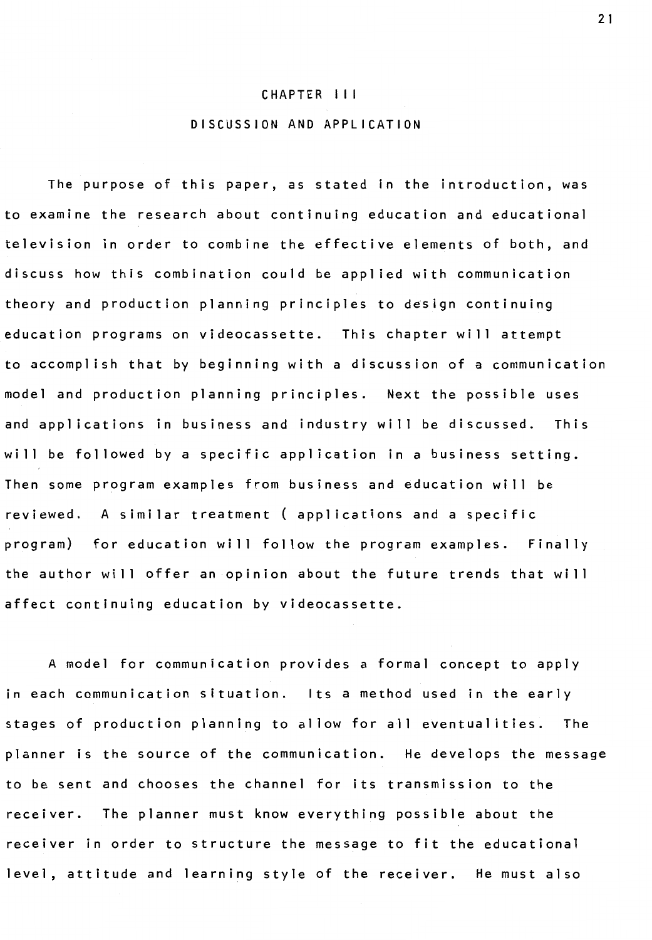#### CHAPTER I I I

### DISCUSSION AND APPLICATION

The purpose of this paper, as stated in the introduction, was to examine the research about continuing education and educational television in order to combine the effective elements of both, and discuss how this combination could be applied with communication theory and production planning principles to design continuing education programs on videocassette. This chapter will attempt to accomplish that by beginning with a discussion of a communication model and production planning principles. Next the possible uses and applications in business and industry will be discussed. This will be followed by a specific application in a business setting. Then some program examples from business and education will be reviewed. A similar treatment ( applications and a specific program) for education will follow the program examples. Finally the author will offer an opinion about the future trends that will affect continuing education by videocassette.

A model for communication provides a formal concept to apply in each communication situation. Its a method used in the early stages of production planning to allow for all eventualities. The planner is the source of the communication. He develops the message to be sent and chooses the channel for its transmission to the receiver. The planner must know everything possible about the receiver in order to structure the message to fit the educational level, attitude and learning style of the receiver. He must also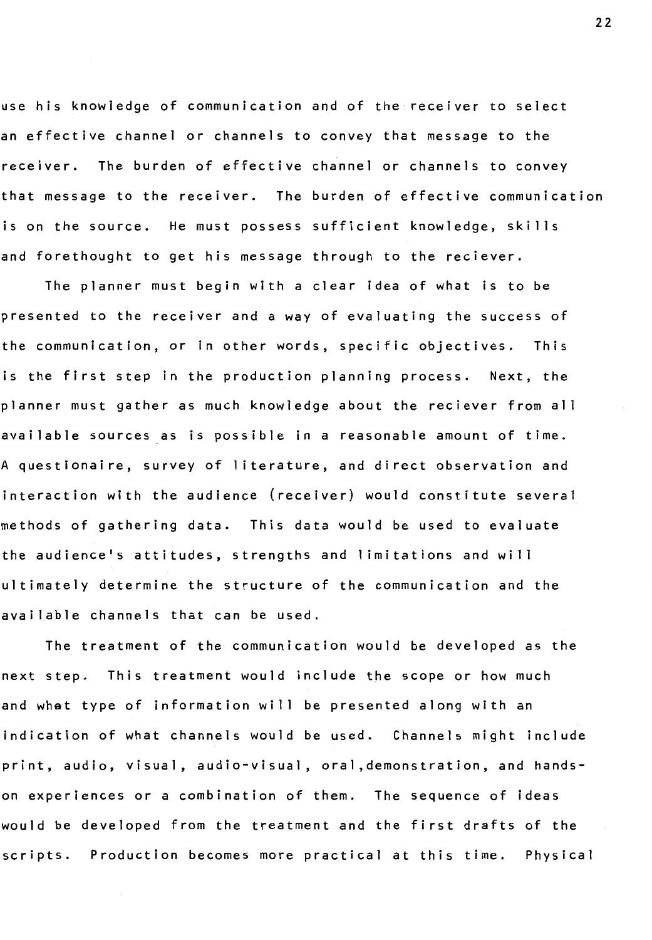use his knowledge of communication and of the receiver to select an effective channel or channels to convey that message to the receiver. The burden of effective channel or channels to convey that message to the receiver. The burden of effective communication is on the source. He must possess sufficient knowledge, skills and forethought to get his message through to the reciever.

The planner must begin with a clear idea of what is to be presented to the receiver and a way of evaluating the success of the communication, or in other words, specific objectives. This is the first step in the production planning process. Next, the planner must gather as much knowledge about the reciever from all available sources as is possible in a reasonable amount of time. A questionaire, survey of literature, and direct observation and interaction with the audience (receiver) would constitute several methods of gathering data. This data would be used to evaluate the audience's attitudes, strengths and limitations and will ultimately determine the structure of the communication and the available channels that can be used.

The treatment of the communication would be developed as the next step. This treatment would include the scope or how much and what type of information will be presented along with an indication of what channels would be used. Channels might include print, audio, visual, audio-visual, oral, demonstration, and handson experiences or a combination of them. The sequence of ideas would be developed from the treatment and the first drafts of the scripts. Production becomes more practical at this time. Physical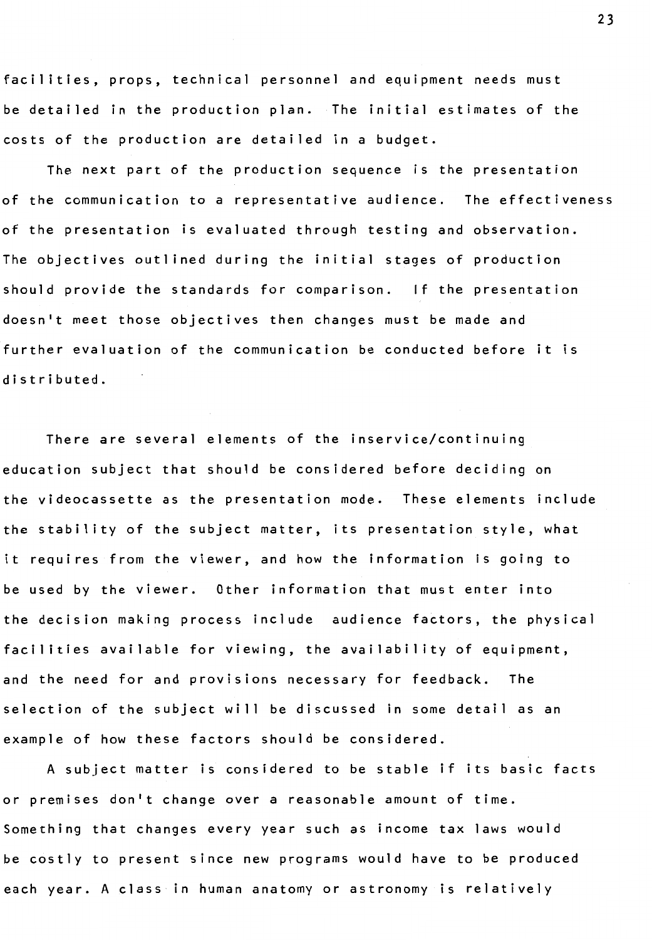facilities, props, technical personnel and equipment needs must be detailed in the production plan. The initial estimates of the costs of the production are detailed in a budget.

The next part of the production sequence is the presentation of the communication to a representative audience. The effectiveness of the presentation is evaluated through testing and observation. The objectives outlined during the initial stages of production should provide the standards for comparison. If the presentation doesn't meet those objectives then changes must be made and further evaluation of the communication be conducted before it is distributed.

There are several elements of the inservice/continuing education subject that should be considered before deciding on the videocassette as the presentation mode. These elements include the stability of the subject matter, its presentation style, what it requires from the viewer, and how the information is going to be used by the viewer. Other information that must enter into the decision making process include audience factors, the physical facilities available for viewing, the availability of equipment, and the need for and provisions necessary for feedback. The selection of the subject will be discussed in some detail as an example of how these factors should be considered.

A subject matter is considered to be stable if its basic facts or premises don't change over a reasonable amount of time. Something that changes every year such as income tax laws would be costly to present since new programs would have to be produced each year. A class in human anatomy or astronomy is relatively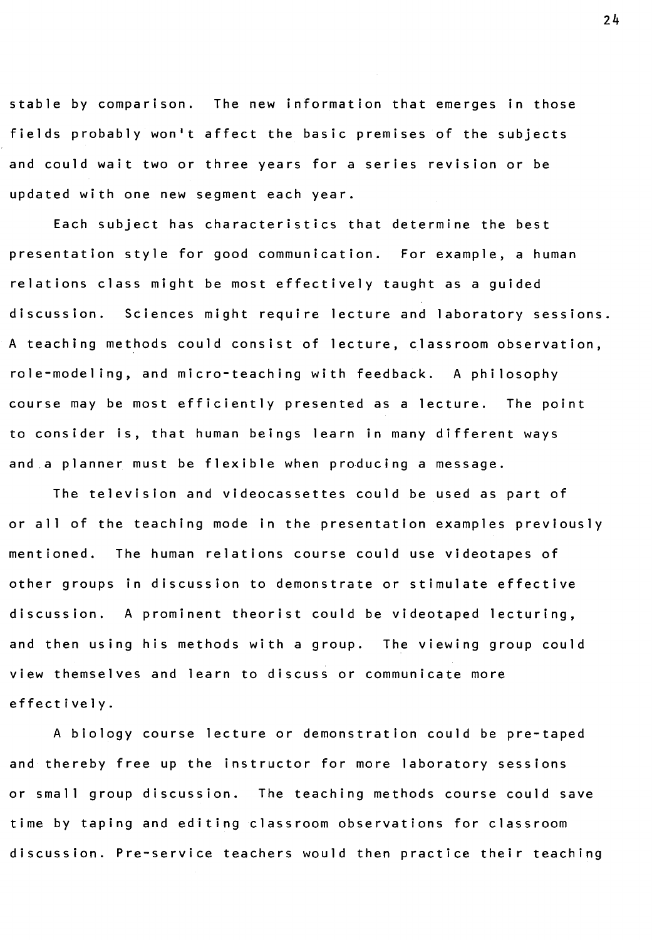stable by comparison. The new information that emerges in those fields probably won't affect the basic premises of the subjects and could wait two or three years for a series revision or be updated with one new segment each year.

Each subject has characteristics that determine the best presentation style for good communication. For example, a human relations class might be most effectively taught as a guided discussion. Sciences might require lecture and laboratory sessions. A teaching methods could consist of lecture, classroom observation, role-modeling, and micro-teaching with feedback. A philosophy course may be most efficiently presented as a lecture. The point to consider is, that human beings learn in many different ways and.a planner must be flexible when producing a message.

The television and videocassettes could be used as part of or all of the teaching mode in the presentation examples previously mentioned. The human relations course could use videotapes of other groups in discussion to demonstrate or stimulate effective discussion. A prominent theorist could be videotaped lecturing, and then using his methods with a group. The viewing group could view themselves and learn to discuss or communicate more effectively.

A biology course lecture or demonstration could be pre-taped and thereby free up the instructor for more laboratory sessions or small group discussion. The teaching methods course could save time by taping and editing classroom observations for classroom discussion. Pre-service teachers would then practice their teaching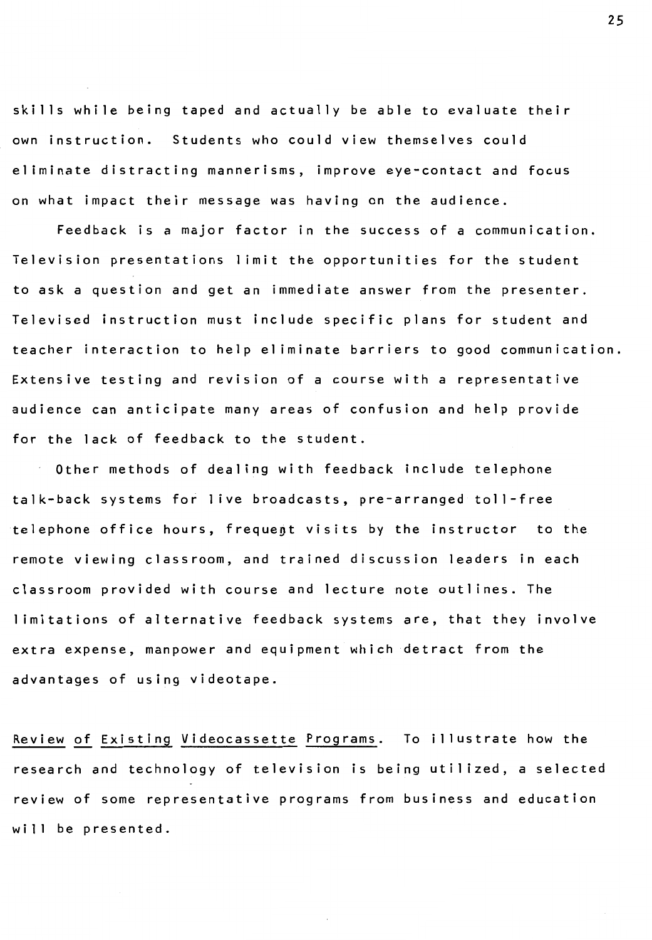skills while being taped and actually be able to evaluate their own instruction. Students who could view themselves could eliminate distracting mannerisms, improve eye-contact and focus on what impact their message was having on the audience.

Feedback is a major factor in the success of a communication. Television presentations 1 imit the opportunities for the student to ask a question and get an immediate answer from the presenter. Televised instruction must include specific plans for student and teacher interaction to help eliminate barriers to good communication. Extensive testing and revision of a course with a representative audience can anticipate many areas of confusion and help provide for the lack of feedback to the student.

Other methods of dealing with feedback include telephone talk-back systems for 1 ive broadcasts, pre-arranged toll-free telephone office hours, frequent visits by the instructor to the remote viewing classroom, and trained discussion leaders in each classroom provided with course and lecture note outlines. The I imitations of alternative feedback systems are, that they involve extra expense, manpower and equipment which detract from the advantages of using videotape.

Review of Existing Videocassette Programs. To illustrate how the research and technology of television is being utilized, a selected review of some representative programs from business and education will be presented.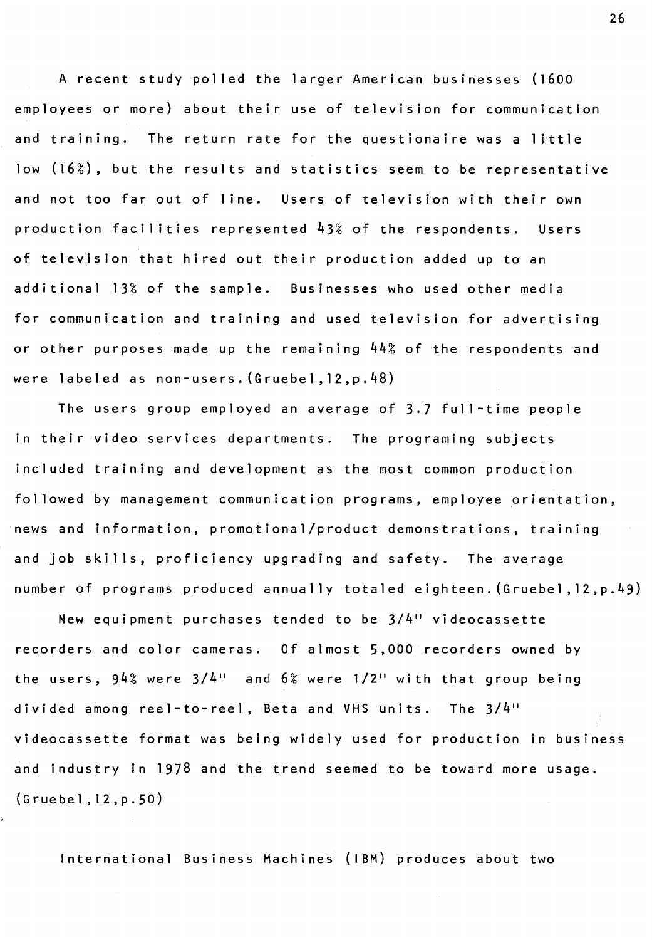A recent study polled the larger American businesses (1600 employees or more) about their use of television for communication and training. The return rate for the questionaire was a little low (16%), but the results and statistics seem to be representative and not too far out of line. Users of television with their own production facilities represented 43% of the respondents. Users of television that hired out their production added up to an additional 13% of the sample. Businesses who used other media for communication and training and used television for advertising or other purposes made up the remaining 44% of the respondents and were labeled as non-users. (Gruebel, 12,p.48)

The users group employed an average of 3.7 full-time people in their video services departments. The programing subjects included training and development as the most common production followed by management communication programs, employee orientation, news and information, promotional/product demonstrations, training and job skills, proficiency upgrading and safety. The average number of programs produced annually totaled eighteen. (Gruebel, 12,p.49)

New equipment purchases tended to be  $3/4$ <sup>11</sup> videocassette recorders and color cameras. Of almost 5,000 recorders owned by the users,  $94\%$  were  $3/4$ <sup>11</sup> and  $6\%$  were  $1/2$ <sup>11</sup> with that group being divided among reel-to-reel, Beta and VHS units. The 3/4" videocassette format was being widely used for production in business and industry in 1978 and the trend seemed to be toward more usage. (Gruebel, 12,p.50)

International Business Machines (IBM) produces about two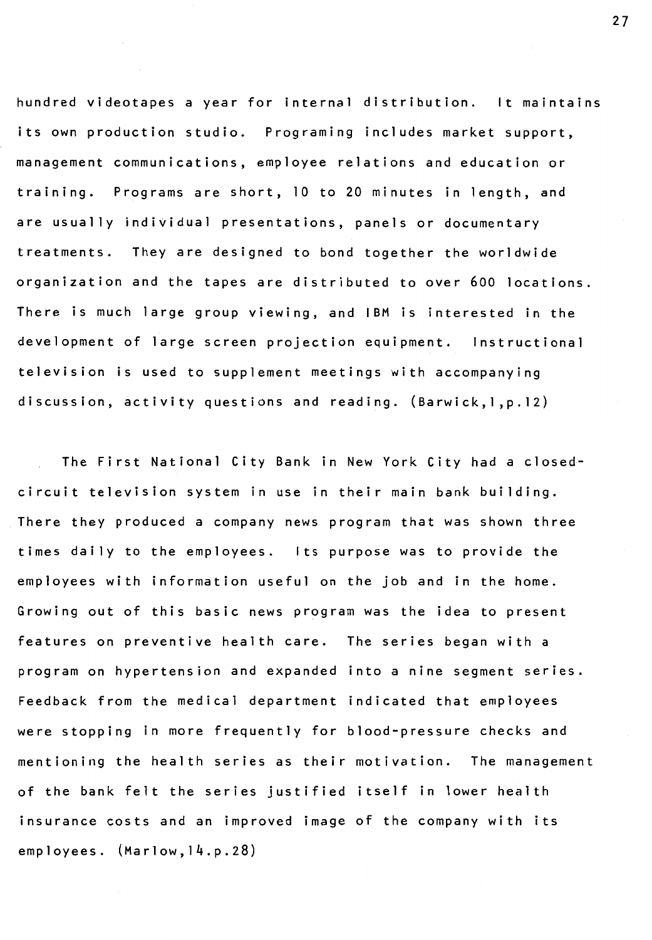hundred videotapes a year for internal distribution. It maintains its own production studio. Programing includes market support, management communications, employee relations and education or training. Programs are short, 10 to 20 minutes in length, and are usually individual presentations, panels or documentary treatments. They are designed to bond together the worldwide organization and the tapes are distributed to over 600 locations. There is much large group viewing, and IBM is interested in the development of large screen projection equipment. Instructional television is used to supplement meetings with accompanying discussion, activity questions and reading.  $(Barwick, l, p.12)$ 

The First National City Bank in New York City had a closedcircuit television system in use in their main bank building. There they produced a company news program that was shown three times daily to the employees. Its purpose was to provide the employees with information useful on the job and in the home. Growing out of this basic news program was the idea to present features on preventive health care. The series began with a program on hypertension and expanded into a nine segment series. Feedback from the medical department indicated that employees were stopping in more frequently for blood-pressure checks and mentioning the health series as their motivation. The management of the bank felt the series justified itself in lower health insurance costs and an improved image of the company with its employees. (Marlow,14.p.28)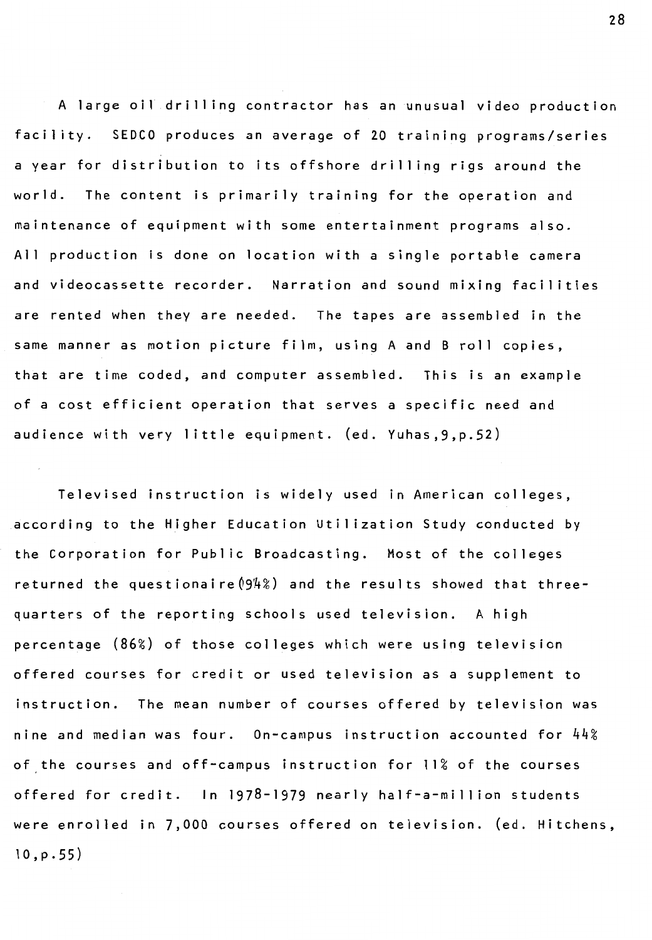A large oil drilling contractor has an unusual video production facility. SEDCO produces an average of 20 training programs/series a year for distribution to its offshore drilling rigs around the world. The content is primarily training for the operation and maintenance of equipment with some entertainment programs also. All production is done on location with a single portable camera and videocassette recorder. Narration and sound mixing facilities are rented when they are needed. The tapes are assembled in the same manner as motion picture film, using A and B roll copies, that are time coded, and computer assembled. This is an example of a cost efficient operation that serves a specific need and audience with very little equipment. (ed. Yuhas, 9, p. 52)

Televised instruction is widely used in American colleges, according to the Higher Education Utilization Study conducted by the Corporation for Public Broadcasting. Most of the colleges returned the questionaire $(94%)$  and the results showed that threequarters of the reporting schools used television. A high percentage **(86%)** of those colleges which were using television offered courses for credit or used television as a supplement to instruction. The mean number of courses offered by television was nine and median was four. On-campus instruction accounted for 44% of the courses and off-campus instruction for 11% of the courses offered for credit. In 1978-1979 nearly half-a-million students were enrolled in 7,000 courses offered on television. (ed. Hitchens,  $10, p.55)$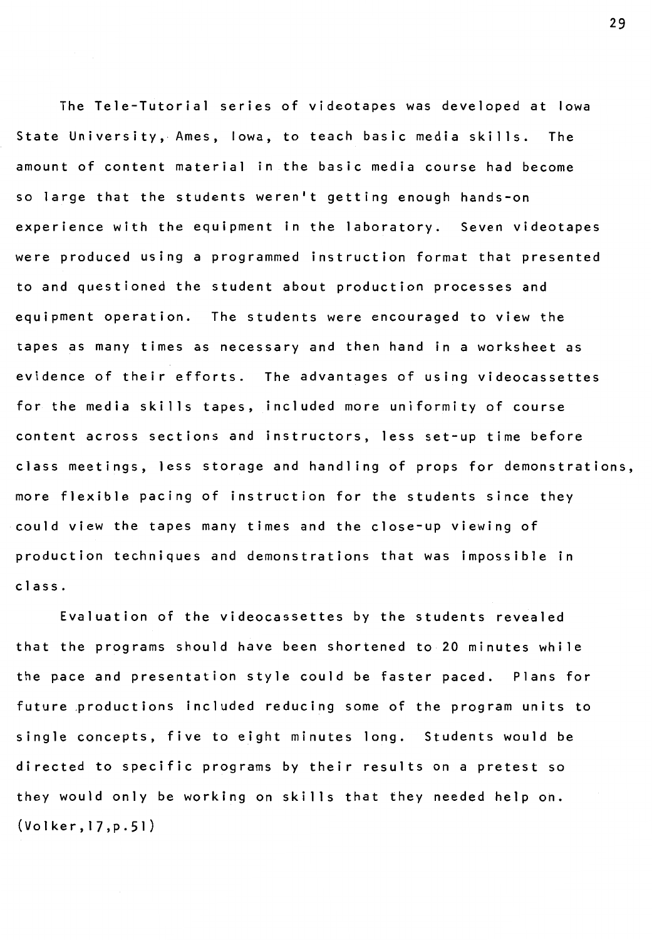The Tele-Tutorial series of videotapes was developed at Iowa State University, Ames, Iowa, to teach basic media skills. The amount of content material in the basic media course had become so large that the students weren't getting enough hands-on experience with the equipment in the laboratory. Seven videotapes were produced using a programmed instruction format that presented to and questioned the student about production processes and equipment operation. The students were encouraged to view the tapes as many times as necessary and then hand in a worksheet as evidence of their efforts. The advantages of using videocassettes for the media skills tapes, included more uniformity of course content across sections and instructors, less set-up time before class meetings, less storage and handling of props for demonstrations, more flexible pacing of instruction for the students since they could view the tapes many times and the close-up viewing of production techniques and demonstrations that was impossible in class.

Evaluation of the videocassettes by the students revealed that the programs should have been shortened to 20 minutes while the pace and presentation style could be faster paced. Plans for future ,productions included reducing some of the program units to single concepts, five to eight minutes long. Students would be directed to specific programs by their results on a pretest so they would only be working on skills that they needed help on. (Volker, 17,p.51)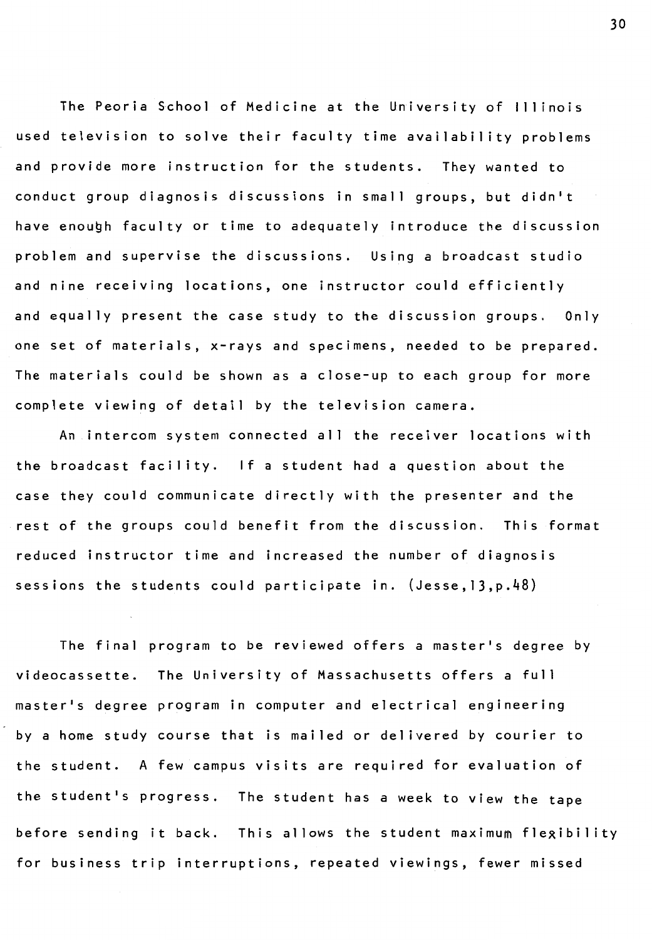The Peoria School of Medicine at the University of Illinois used television to solve their faculty time availability problems and provide more instruction for the students. They wanted to conduct group diagnosis discussions in small groups, but didn't have enough faculty or time to adequately introduce the discussion problem and supervise the discussions. Using a broadcast studio and nine receiving locations, one instructor could efficiently and equally present the case study to the discussion groups. Only one set of materials, x-rays and specimens, needed to be prepared. The materials could be shown as a close-up to each group for more complete viewing of detail by the television camera.

An intercom system connected all the receiver locations with the broadcast facility. If a student had a question about the case they could communicate directly with the presenter and the rest of the groups could benefit from the discussion. This format reduced instructor time and increased the number of diagnosis sessions the students could participate in. (Jesse,13,p.48)

The final program to be reviewed offers a master's degree by videocassette. The University of Massachusetts offers a full master's degree program in computer and electrical engineering by a home study course that is mailed or delivered by courier to the student. A few campus visits are required for evaluation of the student's progress. The student has a week to view the tape before sending it back. This allows the student maximum flexibility for business trip interruptions, repeated viewings, fewer missed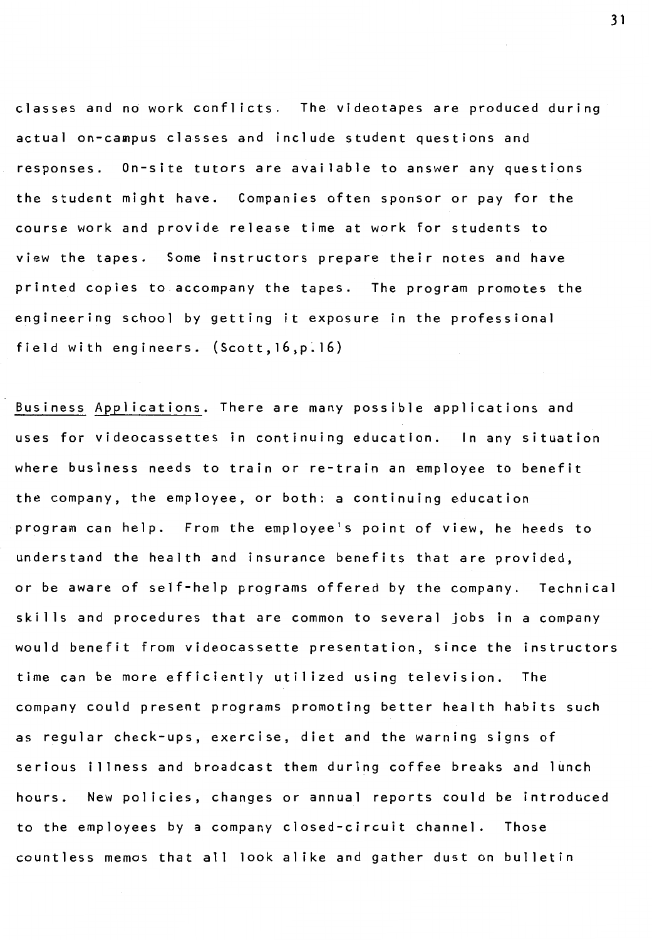classes and no work conflicts. The videotapes are produced during actual on-campus classes and include student questions and responses. On-site tutors are available to answer any questions the student might have. Companies often sponsor or pay for the course work and provide release time at work for students to view the tapes. Some instructors prepare their notes and have printed copies to accompany the tapes. The program promotes the engineering school by getting it exposure in the professional field with engineers. (Scott, 16,p. 16)

Business Applications. There are many possible applications and uses for videocassettes in continuing education. In any situation where business needs to train or re-train an employee to benefit the company, the employee, or both: a continuing education program can help. From the employee's point of view, he heeds to understand the health and insurance benefits that are provided, or be aware of self-help programs offered by the company. Technical skills and procedures that are common to several jobs in a company would benefit from videocassette presentation, since the instructors time can be more efficiently utilized using television. The company could present programs promoting better health habits such as regular check-ups, exercise, diet and the warning signs of serious illness and broadcast them during coffee breaks and lunch hours. New policies, changes or annual reports could be introduced to the employees by a company closed-circuit channel. Those countless memos that all lookalike and gather dust on bulletin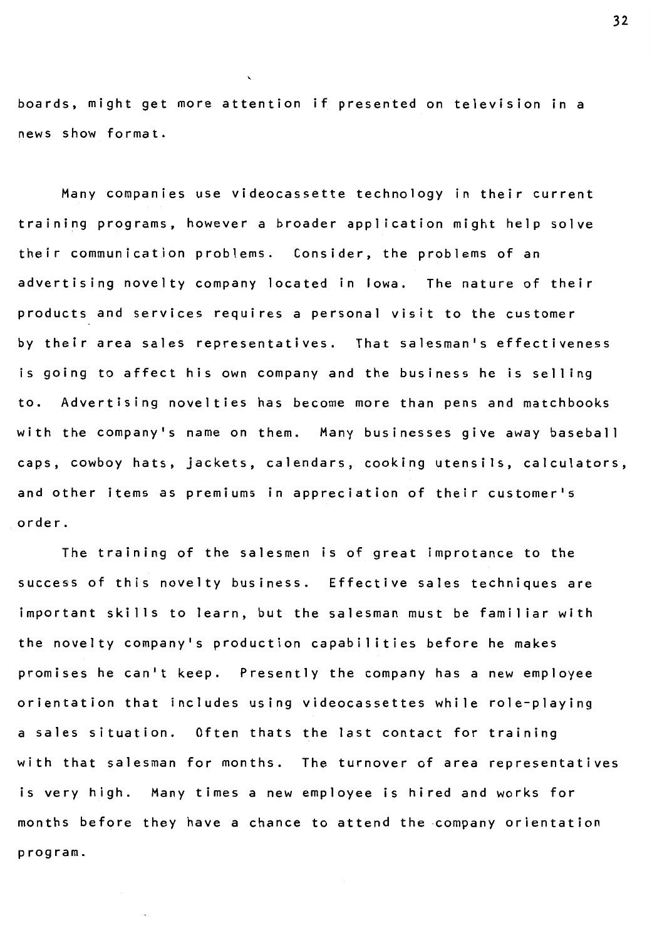boards, might get more attention if presented on television in a news show format.

Many companies use videocassette technology in their current training programs, however a broader application might help solve their communication problems. Consider, the problems of an advertising novelty company located in Iowa. The nature of their products and services requires a personal visit to the customer by their area sales representatives. That salesman's effectiveness is going to affect his own company and the business he is selling to. Advertising novelties has become more than pens and matchbooks with the company's name on them. Many businesses give away baseball caps, cowboy hats, jackets, calendars, cooking utensils, calculators, and other items as premiums in appreciation of their customer's order.

The training of the salesmen is of great improtance to the success of this novelty business. Effective sales techniques are important skills to learn, but the salesman must be familiar with the novelty company's production capabilities before he makes promises he can't keep. Presently the company has a new employee orientation that includes using videocassettes while role-playing a sales situation. Often thats the last contact for training with that salesman for months. The turnover of area representatives is very high. Many times a new employee is hired and works for months before they have a chance to attend the company orientation program.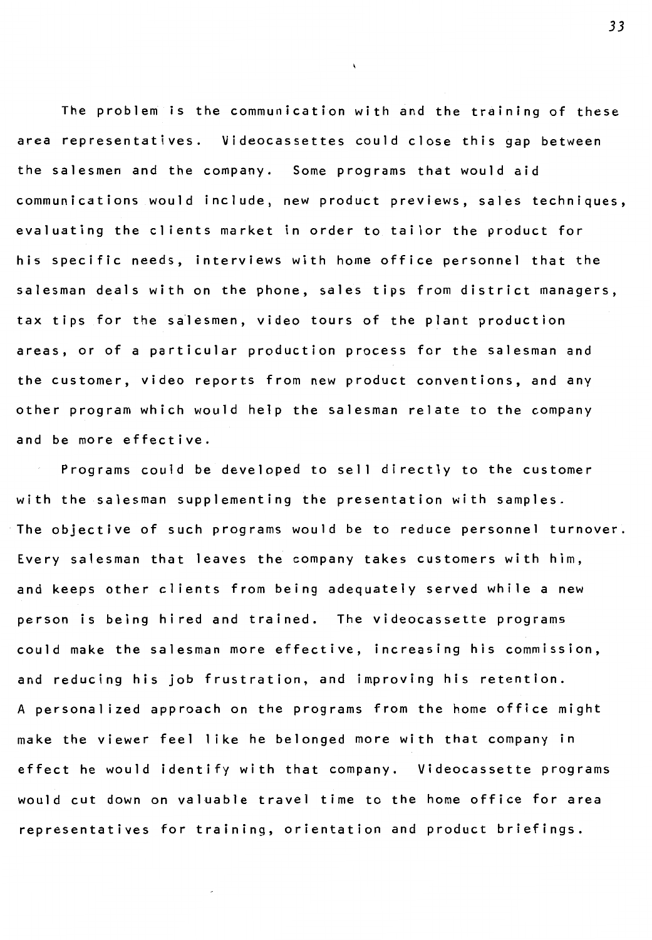The problem is the communication with and the training of these area representatives. Videocassettes could close this gap between the salesmen and the company. Some programs that would aid communications would include, new product previews, sales techniques, evaluating the clients market in order to tailor the product for his specific needs, interviews with home office personnel that the salesman deals with on the phone, sales tips from district managers, tax tips for the salesmen, video tours of the plant production areas, or of a particular production process for the salesman and the customer, video reports from new product conventions, and any other program which would help the salesman relate to the company and be more effective.

 $\mathbf{r}$ 

Programs could be developed to sell directly to the customer with the salesman supplementing the presentation with samples. The objective of such programs would be to reduce personnel turnover. Every salesman that leaves the company takes customers with him, and keeps other clients from being adequately served while a new person is being hired and trained. The videocassette programs could make the salesman more effective, increasing his commission, and reducing his job frustration, and improving his retention. A personalized approach on the programs from the home office might make the viewer feel 1 ike he belonged more with that company in effect he would identify with that company. Videocassette programs would cut down on valuable travel time to the home office for area representatives for training, orientation and product briefings.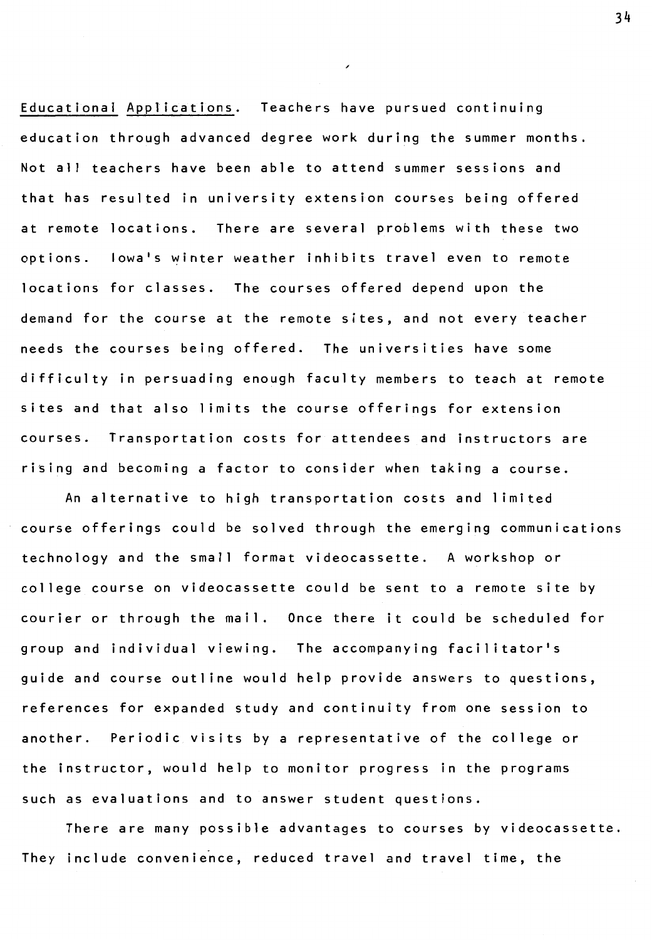Educational Applications. Teachers have pursued continuing education through advanced degree work during the summer months. Not all teachers have been able to attend summer sessions and that has resulted in university extension courses being offered at remote locations. There are several problems with these two options. Iowa's winter weather inhibits travel even to remote locations for classes. The courses offered depend upon the demand for the course at the remote sites, and not every teacher needs the courses being offered. The universities have some difficulty in persuading enough faculty members to teach at remote sites and that also limits the course offerings for extension courses. Transportation costs for attendees and instructors are rising and becoming a factor to consider when taking a course.

An alternative to high transportation costs and 1 imited course offerings could be solved through the emerging communications technology and the small format videocassette. A workshop or college course on videocassette could be sent to a remote site by courier or through the mail. Once there it could be scheduled for group and individual viewing. The accompanying facilitator's guide and course outline would help provide answers to questions, references for expanded study and continuity from one session to another. Periodic visits by a representative of the college or the instructor, would help to monitor progress in the programs such as evaluations and to answer student questions.

There are many possible advantages to courses by videocassette. They include convenience, reduced travel and travel time, the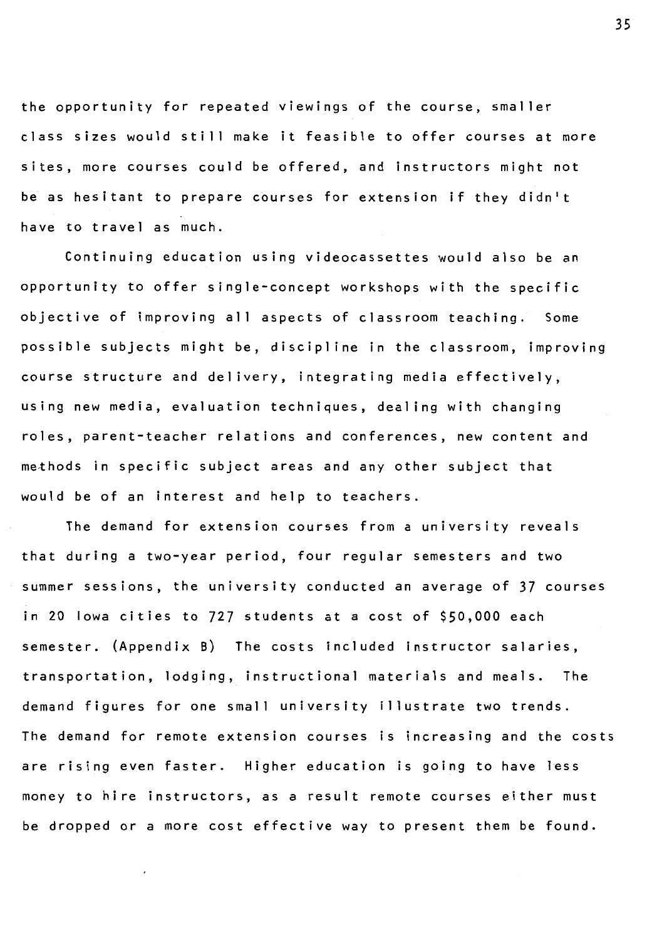the opportunity for repeated viewings of the course, smaller class sizes would still make it feasible to offer courses at more sites, more courses could be offered, and instructors might not be as hesitant to prepare courses for extension if they didn't have to travel as much.

Continuing education using videocassettes would also be an opportunity to offer single-concept workshops with the specific objective of improving all aspects of classroom teaching. Some possible subjects might be, discipline in the classroom, improving course structure and delivery, integrating media effectively, using new media, evaluation techniques, dealing with changing roles, parent-teacher relations and conferences, new content and methods in specific subject areas and any other subject that would be of an interest and help to teachers.

The demand for extension courses from a university reveals that during a two-year period, four regular semesters and two summer sessions, the university conducted an average of 37 courses in 20 Iowa cities to 727 students at a cost of \$50,000 each semester. (Appendix B) The costs included instructor salaries, transportation, lodging, instructional materials and meals. The demand figures for one small university illustrate two trends. The demand for remote extension courses is increasing and the costs are rising even faster. Higher education is going to have less money to hire instructors, as a result remote courses either must be dropped or a more cost effective way to present them be found.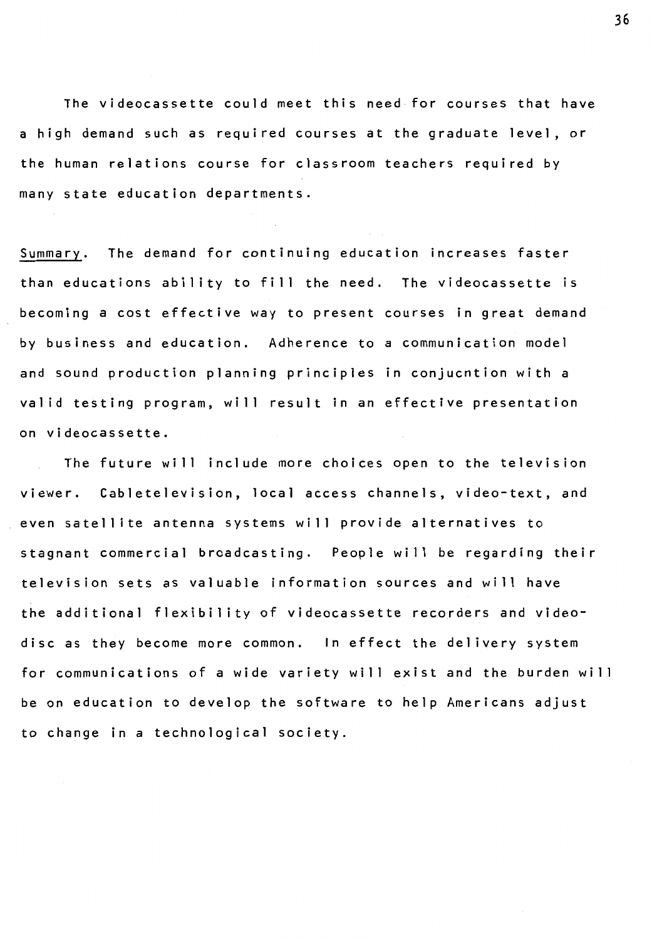The videocassette could meet this need for courses that have a high demand such as required courses at the graduate level, or the human relations course for classroom teachers required by many state education departments.

Summary. The demand for continuing education increases faster than educations ability to fill the need. The videocassette is becoming a cost effective way to present courses in great demand by business and education. Adherence to a communication model and sound production planning principles in conjucntion with a valid testing program, will result in an effective presentation on videocassette.

The future will include more choices open to the television viewer. Cabletelevision, local access channels, video-text, and even satellite antenna systems will provide alternatives to stagnant commercial broadcasting. People will be regarding their television sets as valuable information sources and will have the additional flexibility of videocassette recorders and videodisc as they become more common. In effect the delivery system for communications of a wide variety will exist and the burden will be on education to develop the software to help Americans adjust to change in a technological society.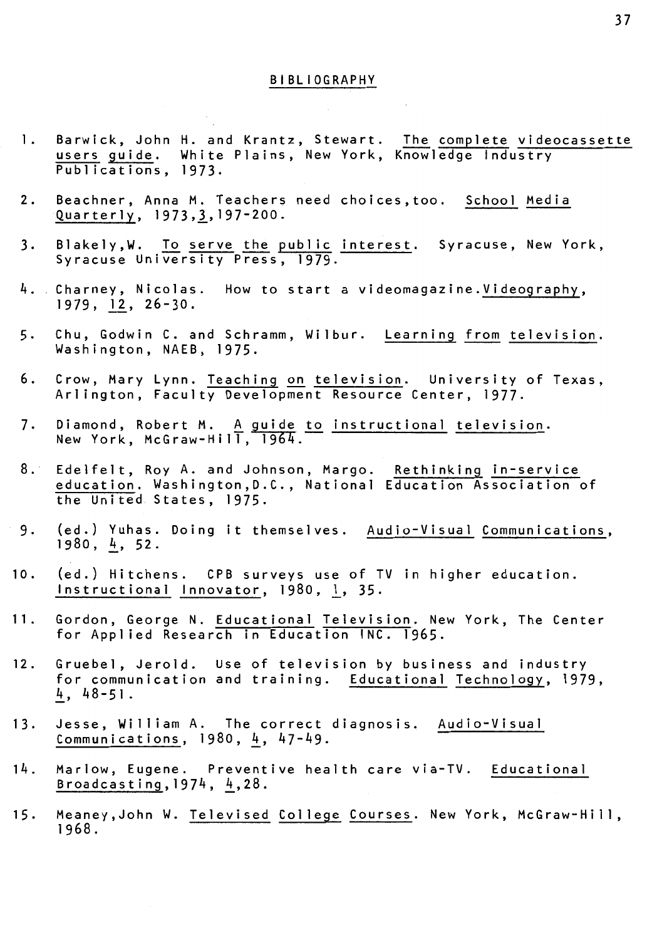#### BIBLIOGRAPHY

- 1. Barwick, John H. and Krantz, Stewart. The complete videocassette users guide. White Plains, New York, Knowledge Industry Publications, 1973.
- 2. Beachner, Anna M. Teachers need choices,too. School Media Quarterly, 1973,1,197-200.
- 3. Blakely, W. To serve the public interest. Syracuse, New York, Syracuse University Press, 1979.
- 4. Charney, Nicolas. How to start a videomagazine.Videography, 1979, 12, 26-30.
- 5. Chu, Godwin C. and Schramm, Wilbur. Learning from television. Washington, NAEB, 1975.
- 6. Crow, Mary Lynn. Teaching on television. University of Texas, Arlington, Faculty Development Resource Center, 1977.
- 7. Diamond, Robert M. <u>A guide to instructional television</u>. New York, McGraw-Hill, 1964.
- 8. Edelfelt, Roy A. and Johnson, Margo. Rethinking <mark>in-service</mark> education. Washington,D.C., National Education Association of the United States, 1975.
- 9. (ed.) Yuhas. Doing it themselves. Audio-Visual Communications,  $1980, 4, 52.$
- **<sup>1</sup>**0 (ed.) Hitchens. CPB surveys use of TV in higher education. Instructional Innovator, 1980, l, 35.
- 11. Gordon, George N. Educational Television. New York, The Center for Applied Research in Education INC. 1965.
- 12. Gruebel, Jerold. Use of television by business and industry for communication and training. Educational Technology, 1979,  $4, 48 - 51.$
- 13. Jesse, William A. The correct diagnosis. Audio-Visual Communications,  $1980, 4, 47-49$ .
- 14. Marlow, Eugene. Preventive health care via-TV. Educational Broadcasting,  $1974$ ,  $4$ ,  $28$ .
- 15. Meaney,John W. Televised College Courses. New York, McGraw-Hill, 1968.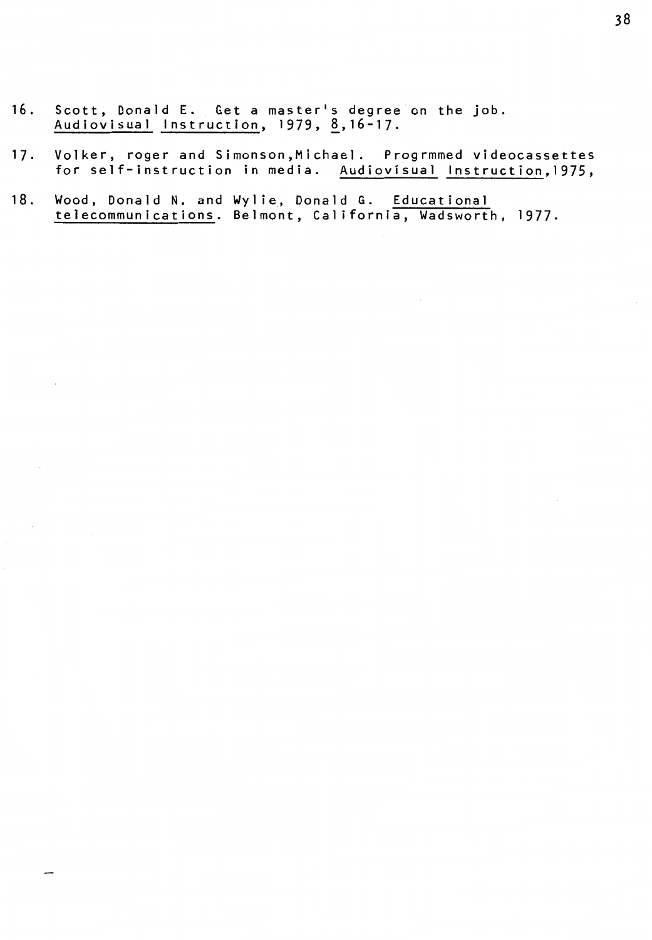16. Scott, Donald E. Get a masterls degree on the job. Audiovisual Instruction, 1979, <u>8</u>,16-17.

 $\overline{\phantom{a}}$ 

- 17. Volker, roger and Simonson,Michael. Progrmmed videocassettes for self-instruction in media. Audiovisual lnstruction,1975,
- 18. Wood, Donald N. and Wylie, Donald G. Educational telecommunications. Belmont, California, Wadsworth, 1977.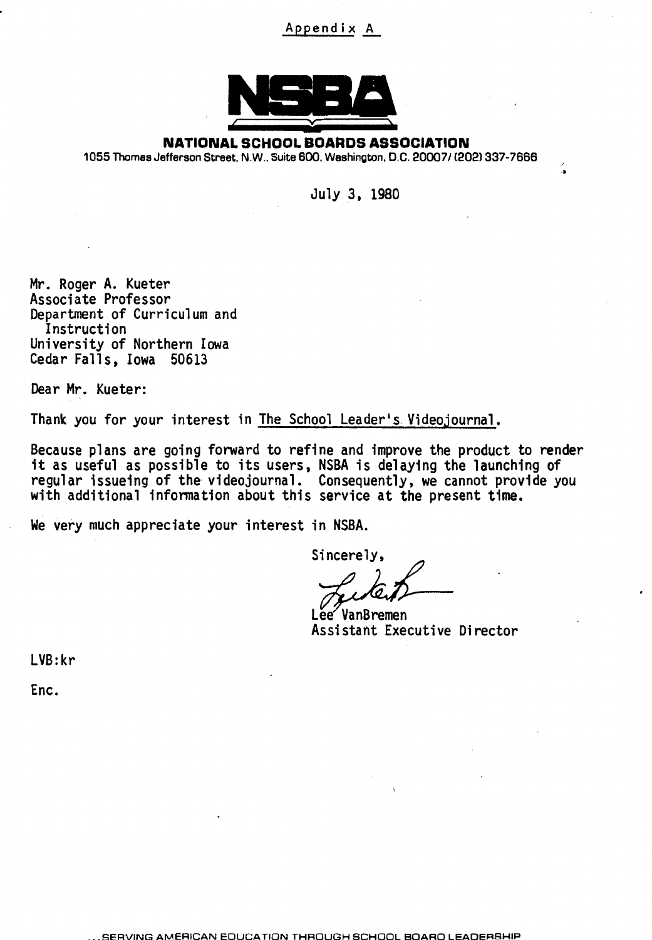## Append ix A



**NATIONAL SCHOOL BOARDS ASSOCIATION** 

1055 Thomes Jefferson Street, N.W., Suite 600, Washington, D.C. 20007 / (202) 337-7666

July 3, 1980

Mr. Roger A. Kueter Associate Professor Department of Curriculum and Instruction University of Northern Iowa Cedar Falls, Iowa 50613

Dear Mr. Kueter:

Thank you for your interest in The School Leader's Videojournal.

Because plans are going forward to refine and improve the product to render it as useful as possible to its users, NSBA is delaying the launching of regular issueing of the videojournal. Consequently, we cannot provide you with additional information about this service at the present time.

We very much appreciate your interest in NSBA.

Sincerely,

Lee VanBremen Assistant Executive Director

LVB:kr

Enc.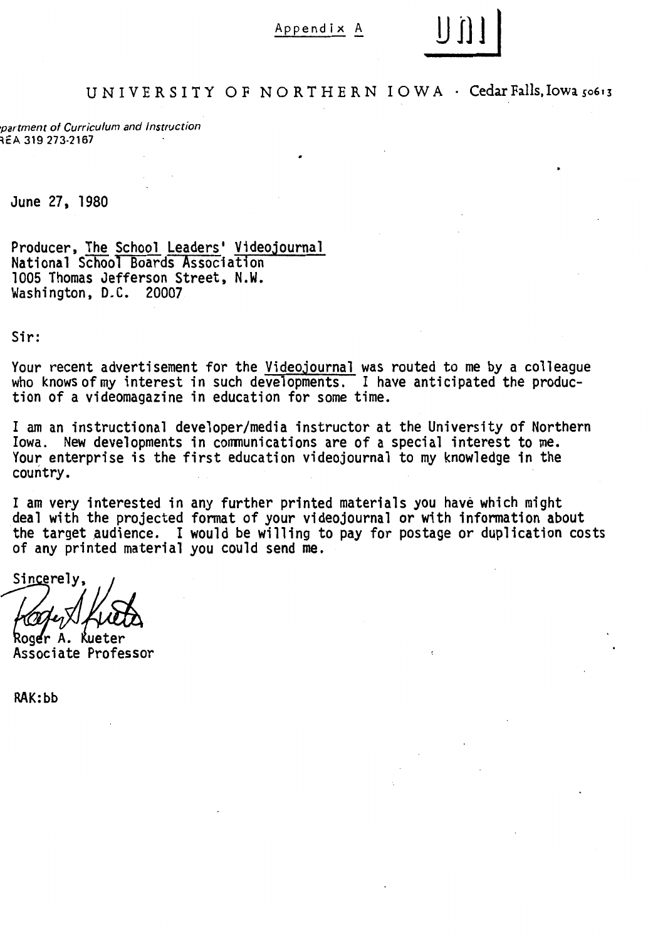### Appendix A



~partment of Curriculum and Instruction REA 319 273-2167

June 27, 1980

Producer, The School Leaders' Videojournal National School Boards Association 1005 Thomas Jefferson Street, N.W. Washington, D.C. 20007

Sir:

Your recent advertisement for the <u>Videojournal</u> was routed to me by a colleague who knows of my interest in such developments. I have anticipated the produc-<br>tion of a videomagazine in education for some time.

I am an instructional developer/media instructor at the University of Northern Iowa. New developments in communications are of a special interest to me. Your enterprise is the first education videojournal to my knowledge in the country.

I am very interested in any further printed materials you have which might deal with the projected fonnat of your videojournal or with infonnation about the target audience. I would be willing to pay for postage or duplication costs of any printed material you could send me.

Sincerely,

Roger A. Kueter Associate Professor

RAK:bb